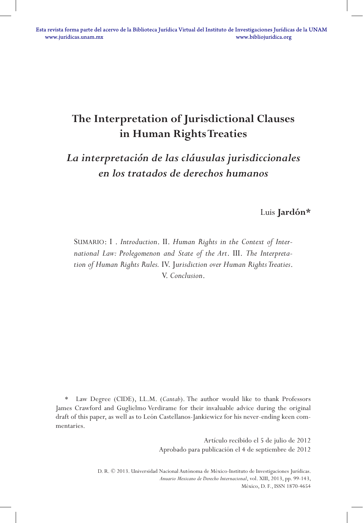# **The Interpretation of Jurisdictional Clauses in Human Rights Treaties**

# *La interpretación de las cláusulas jurisdiccionales en los tratados de derechos humanos*

Luis **Jardón\***

SUMARIO: I . *Introduction*. II. *Human Rights in the Context of International Law: Prolegomenon and State of the Art*. III. *The Interpretation of Human Rights Rules.* IV. J*urisdiction over Human Rights Treaties*. V. *Conclusion*.

Law Degree (CIDE), LL.M. (*Cantab*). The author would like to thank Professors James Crawford and Guglielmo Verdirame for their invaluable advice during the original draft of this paper, as well as to León Castellanos-Jankiewicz for his never-ending keen commentaries.

> Artículo recibido el 5 de julio de 2012 Aprobado para publicación el 4 de septiembre de 2012

D. R. © 2013. Universidad Nacional Autónoma de México-Instituto de Investigaciones Jurídicas. *Anuario Mexicano de Derecho Internacional*, vol. XIII, 2013, pp. 99-143, México, D. F., ISSN 1870-4654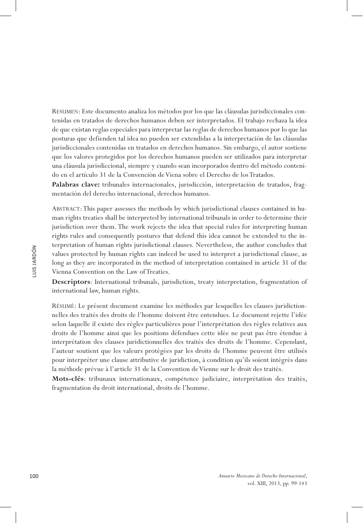Resumen: Este documento analiza los métodos por los que las cláusulas jurisdiccionales contenidas en tratados de derechos humanos deben ser interpretados. El trabajo rechaza la idea de que existan reglas especiales para interpretar las reglas de derechos humanos por lo que las posturas que defienden tal idea no pueden ser extendidas a la interpretación de las cláusulas jurisdiccionales contenidas en tratados en derechos humanos. Sin embargo, el autor sostiene que los valores protegidos por los derechos humanos pueden ser utilizados para interpretar una cláusula jurisdiccional, siempre y cuando sean incorporados dentro del método contenido en el artículo 31 de la Convención de Viena sobre el Derecho de los Tratados.

**Palabras clave:** tribunales internacionales, jurisdicción, interpretación de tratados, fragmentación del derecho internacional, derechos humanos.

Abstract: This paper assesses the methods by which jurisdictional clauses contained in human rights treaties shall be interpreted by international tribunals in order to determine their jurisdiction over them. The work rejects the idea that special rules for interpreting human rights rules and consequently postures that defend this idea cannot be extended to the interpretation of human rights jurisdictional clauses. Nevertheless, the author concludes that values protected by human rights can indeed be used to interpret a jurisdictional clause, as long as they are incorporated in the method of interpretation contained in article 31 of the Vienna Convention on the Law of Treaties.

**Descriptors**: International tribunals, jurisdiction, treaty interpretation, fragmentation of international law, human rights.

Résumé: Le présent document examine les méthodes par lesquelles les clauses juridictionnelles des traités des droits de l'homme doivent être entendues. Le document rejette l'idée selon laquelle il existe des règles particulières pour l'interprétation des règles relatives aux droits de l'homme ainsi que les positions défendues cette idée ne peut pas être étendue à interprétation des clauses juridictionnelles des traités des droits de l'homme. Cependant, l'auteur soutient que les valeurs protégées par les droits de l'homme peuvent être utilisés pour interpréter une clause attributive de juridiction, à condition qu'ils soient intégrés dans la méthode prévue à l'article 31 de la Convention de Vienne sur le droit des traités.

**Mots-clés**: tribunaux internationaux, compétence judiciaire, interprétation des traités, fragmentation du droit international, droits de l'homme.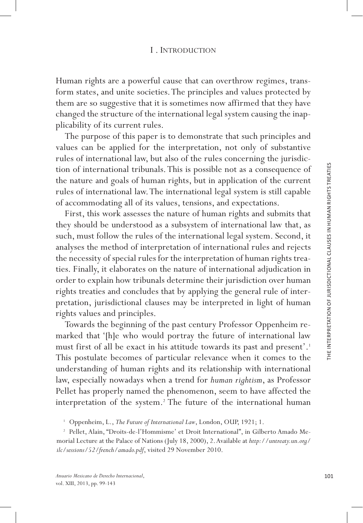Human rights are a powerful cause that can overthrow regimes, trans form states, and unite societies. The principles and values protected by them are so suggestive that it is sometimes now affirmed that they have changed the structure of the international legal system causing the inap plicability of its current rules.

The purpose of this paper is to demonstrate that such principles and values can be applied for the interpretation, not only of substantive rules of international law, but also of the rules concerning the jurisdic tion of international tribunals. This is possible not as a consequence of the nature and goals of human rights, but in application of the current rules of international law. The international legal system is still capable of accommodating all of its values, tensions, and expectations.

First, this work assesses the nature of human rights and submits that they should be understood as a subsystem of international law that, as such, must follow the rules of the international legal system. Second, it analyses the method of interpretation of international rules and rejects the necessity of special rules for the interpretation of human rights trea ties. Finally, it elaborates on the nature of international adjudication in order to explain how tribunals determine their jurisdiction over human rights treaties and concludes that by applying the general rule of inter pretation, jurisdictional clauses may be interpreted in light of human rights values and principles.

Towards the beginning of the past century Professor Oppenheim re marked that '[h]e who would portray the future of international law must first of all be exact in his attitude towards its past and present'. 1 This postulate becomes of particular relevance when it comes to the understanding of human rights and its relationship with international law, especially nowadays when a trend for *human rightism*, as Professor Pellet has properly named the phenomenon, seem to have affected the interpretation of the system. 2 The future of the international human

<sup>&</sup>lt;sup>1</sup> Oppenheim, L., *The Future of International Law*, London, OUP, 1921; 1.<br><sup>2</sup> Pellet, Alain, "Droits-de-l'Hommisme' et Droit International", in Gilberto Amado Memorial Lecture at the Palace of Nations (July 18, 2000), 2. Available at *http://untreaty.un.org/ ilc/sessions/52/french/amado.pdf*, visited 29 November 2010.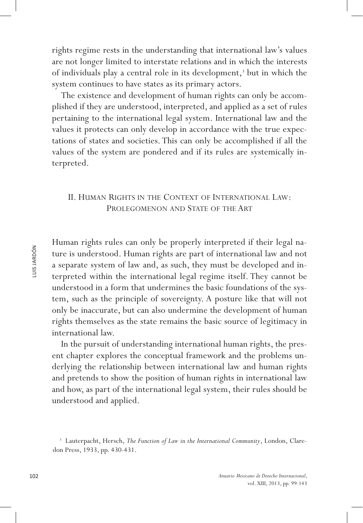rights regime rests in the understanding that international law's values are not longer limited to interstate relations and in which the interests of individuals play a central role in its development,<sup>3</sup> but in which the system continues to have states as its primary actors.

The existence and development of human rights can only be accomplished if they are understood, interpreted, and applied as a set of rules pertaining to the international legal system. International law and the values it protects can only develop in accordance with the true expectations of states and societies. This can only be accomplished if all the values of the system are pondered and if its rules are systemically interpreted.

## II. Human Rights in the Context of International Law: PROLEGOMENON AND STATE OF THE ART

Human rights rules can only be properly interpreted if their legal nature is understood. Human rights are part of international law and not a separate system of law and, as such, they must be developed and interpreted within the international legal regime itself. They cannot be understood in a form that undermines the basic foundations of the system, such as the principle of sovereignty. A posture like that will not only be inaccurate, but can also undermine the development of human rights themselves as the state remains the basic source of legitimacy in international law.

In the pursuit of understanding international human rights, the present chapter explores the conceptual framework and the problems underlying the relationship between international law and human rights and pretends to show the position of human rights in international law and how, as part of the international legal system, their rules should be understood and applied.

<sup>&</sup>lt;sup>3</sup> Lauterpacht, Hersch, *The Function of Law in the International Community*, London, Claredon Press, 1933, pp. 430-431.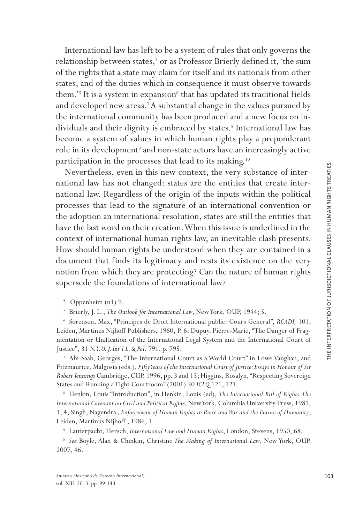International law has left to be a system of rules that only governs the relationship between states, 4 or as Professor Brierly defined it, 'the sum of the rights that a state may claim for itself and its nationals from other states, and of the duties which in consequence it must observe towards them.'<sup>5</sup> It is a system in expansion<sup>6</sup> that has updated its traditional fields and developed new areas.<sup>7</sup> A substantial change in the values pursued by the international community has been produced and a new focus on in dividuals and their dignity is embraced by states. 8 International law has become a system of values in which human rights play a preponderant role in its development<sup>9</sup> and non-state actors have an increasingly active participation in the processes that lead to its making.10

Nevertheless, even in this new context, the very substance of inter national law has not changed: states are the entities that create inter national law. Regardless of the origin of the inputs within the political processes that lead to the signature of an international convention or the adoption an international resolution, states are still the entities that have the last word on their creation. When this issue is underlined in the context of international human rights law, an inevitable clash presents. How should human rights be understood when they are contained in a document that finds its legitimacy and rests its existence on the very notion from which they are protecting? Can the nature of human rights supersede the foundations of international law?

<sup>4</sup> Oppenheim (n1) 9.<br><sup>5</sup> Brierly, J. L., *The Outlook for International Law*, New York, OUP, 1944; 5.

<sup>6</sup> Sørensen, Max, "Principes de Droit International public: Cours General *"* , *RCADI,* 101, Leiden, Martinus Nijhoff Publishers, 1960, P. 6; Dupuy, Pierre-Marie, "The Danger of Frag mentation or Unification of the International Legal System and the International Court of Justice", 31 *N.Y.U. J. Int'l L. & Pol*. 791, p. 795.

<sup>7</sup> Abi-Saab, Georges, "The International Court as a World Court" in Lowe Vaughan, and Fitzmaurice, Malgosia (eds.), *Fifty Years of the International Court of Justice: Essays in Honour of Sir Robert Jennings* Cambridge, CUP, 1996, pp. 3 and 13; Higgins, Rosalyn, "Respecting Sovereign States and Running a Tight Courtroom" (2001) 50 *ICLQ* 121, 121.

<sup>8</sup> Henkin, Louis "Introduction", in Henkin, Louis (ed), *The International Bill of Rights: The International Covenant on Civil and Political Rights*, New York, Columbia University Press, 1981, 1, 4; Singh, Nagendra *, Enforcement of Human Rights in Peace and War and the Future of Humanity*, Leiden, Martinus Nijhoff , 1986, 1.

<sup>9</sup> Lauterpacht, Hersch, *International Law and Human Rights*, London, Stevens, 1950, 68;

<sup>10</sup> *See* Boyle, Alan & Chinkin, Christine *The Making of International Law*, New York, OUP, 2007, 46.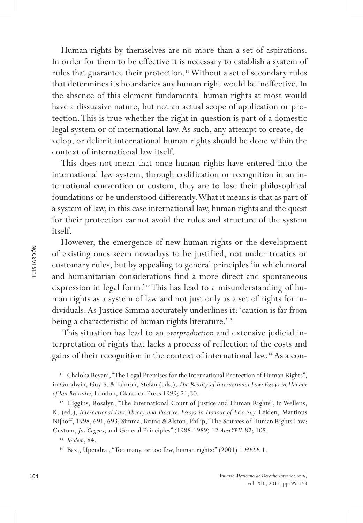Human rights by themselves are no more than a set of aspirations. In order for them to be effective it is necessary to establish a system of rules that guarantee their protection.<sup>11</sup> Without a set of secondary rules that determines its boundaries any human right would be ineffective. In the absence of this element fundamental human rights at most would have a dissuasive nature, but not an actual scope of application or protection. This is true whether the right in question is part of a domestic legal system or of international law. As such, any attempt to create, develop, or delimit international human rights should be done within the context of international law itself.

This does not mean that once human rights have entered into the international law system, through codification or recognition in an international convention or custom, they are to lose their philosophical foundations or be understood differently. What it means is that as part of a system of law, in this case international law, human rights and the quest for their protection cannot avoid the rules and structure of the system itself.

However, the emergence of new human rights or the development of existing ones seem nowadays to be justified, not under treaties or customary rules, but by appealing to general principles 'in which moral and humanitarian considerations find a more direct and spontaneous expression in legal form.'12 This has lead to a misunderstanding of human rights as a system of law and not just only as a set of rights for individuals. As Justice Simma accurately underlines it: 'caution is far from being a characteristic of human rights literature.'<sup>13</sup>

 This situation has lead to an *overproduction* and extensive judicial interpretation of rights that lacks a process of reflection of the costs and gains of their recognition in the context of international law.14 As a con-

<sup>11</sup> Chaloka Beyani, "The Legal Premises for the International Protection of Human Rights", in Goodwin, Guy S. & Talmon, Stefan (eds.), *The Reality of International Law: Essays in Honour of Ian Brownlie*, London, Claredon Press 1999; 21,30.

<sup>12</sup> Higgins, Rosalyn, "The International Court of Justice and Human Rights", in Wellens, K. (ed.), *International Law: Theory and Practice: Essays in Honour of Eric Suy*, Leiden, Martinus Nijhoff, 1998, 691, 693; Simma, Bruno & Alston, Philip, "The Sources of Human Rights Law: Custom, *Jus Cogens*, and General Principles" (1988-1989) 12 *AustYBIL* 82; 105.

<sup>13</sup> *Ibidem*, 84.

<sup>14</sup> Baxi, Upendra , "Too many, or too few, human rights?" (2001) 1 *HRLR* 1.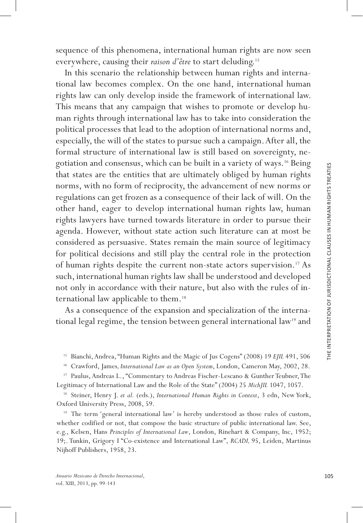sequence of this phenomena, international human rights are now seen everywhere, causing their *raison d'être* to start deluding.15

In this scenario the relationship between human rights and interna tional law becomes complex. On the one hand, international human rights law can only develop inside the framework of international law. This means that any campaign that wishes to promote or develop human rights through international law has to take into consideration the political processes that lead to the adoption of international norms and, especially, the will of the states to pursue such a campaign. After all, the formal structure of international law is still based on sovereignty, negotiation and consensus, which can be built in a variety of ways.16 Being that states are the entities that are ultimately obliged by human rights norms, with no form of reciprocity, the advancement of new norms or regulations can get frozen as a consequence of their lack of will. On the other hand, eager to develop international human rights law, human rights lawyers have turned towards literature in order to pursue their agenda. However, without state action such literature can at most be considered as persuasive. States remain the main source of legitimacy for political decisions and still play the central role in the protection of human rights despite the current non-state actors supervision.<sup>17</sup> As such, international human rights law shall be understood and developed not only in accordance with their nature, but also with the rules of in ternational law applicable to them.<sup>18</sup>

As a consequence of the expansion and specialization of the interna tional legal regime, the tension between general international law<sup>19</sup> and

<sup>15</sup> Bianchi, Andrea, "Human Rights and the Magic of Jus Cogens" (2008) 19 *EJIL* 491, 506

<sup>16</sup> Crawford, James*, International Law as an Open System*, London, Cameron May, 2002, 28.

<sup>17</sup> Paulus, Andreas L., "Commentary to Andreas Fischer-Lescano & Gunther Teubner, The Legitimacy of International Law and the Role of the State" (2004) 25 *MichJIL* 1047, 1057.

<sup>18</sup> Steiner, Henry J. *et al.* (eds.), *International Human Rights in Context*, 3 edn, New York, Oxford University Press, 2008, 59.

<sup>19</sup> The term 'general international law' is hereby understood as those rules of custom, whether codified or not, that compose the basic structure of public international law. See, e.g., Kelsen, Hans *Principles of International Law*, London, Rinehart & Company, Inc, 1952; 19;. Tunkin, Grigory I "Co-existence and International Law", *RCADI,* 95, Leiden, Martinus Nijhoff Publishers, 1958, 23.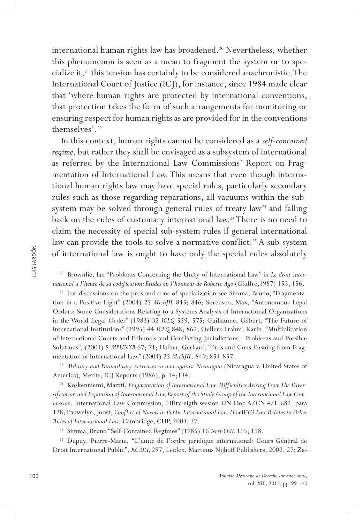international human rights law has broadened.<sup>20</sup> Nevertheless, whether this phenomenon is seen as a mean to fragment the system or to specialize it,<sup>21</sup> this tension has certainly to be considered anachronistic. The International Court of Justice (ICJ), for instance, since 1984 made clear that 'where human rights are protected by international conventions, that protection takes the form of such arrangements for monitoring or ensuring respect for human rights as are provided for in the conventions themselves'.22

In this context, human rights cannot be considered as a *self-contained regime*, but rather they shall be envisaged as a subsystem of international as referred by the International Law Commissions' Report on Fragmentation of International Law. This means that even though international human rights law may have special rules, particularly secondary rules such as those regarding reparations, all vacuums within the subsystem may be solved through general rules of treaty law<sup>23</sup> and falling back on the rules of customary international law.24 There is no need to claim the necessity of special sub-system rules if general international law can provide the tools to solve a normative conflict.<sup>25</sup> A sub-system of international law is ought to have only the special rules absolutely

<sup>20</sup> Brownlie, Ian "Problems Concerning the Unity of International Law" in *Le droit international a l'heure de sa codification: Etudes en l'honneur de Roberto Ago* (Giuffre,1987) 153, 156.

<sup>21</sup> For discussions on the pros and cons of specialization see Simma, Bruno, "Fragmentation in a Positive Light" (2004) 25 *MichJIL* 845; 846; Sørensen, Max, "Autonomous Legal Orders: Some Considerations Relating to a Systems Analysis of International Organizations in the World Legal Order" (1983) 32 *ICLQ* 559, 575; Guillaume, Gilbert, "The Future of International Institutions" (1995) 44 *ICLQ* 848; 862; Oellers-Frahm, Karin, "Multiplication of International Courts and Tribunals and Conflicting Jurisdictions - Problems and Possible Solutions", (2001) 5 *MPUNYB* 67; 71; Hafner, Gerhard, "Pros and Cons Ensuing from Fragmentation of International Law" (2004) 25 *MichJIL*. 849; 854-857.

<sup>22</sup> Military and Paramilitary Activities in and against Nicaragua (Nicaragua v. United States of America), Merits, ICJ Reports (1986), p. 14;134.

<sup>23</sup> Koskenniemi, Martti, Fragmentation of International Law: Difficulties Arising From The Diver*sification and Expansion of International Law, Report of the Study Group of the International Law Commission*, International Law Commission, Fifity-eigth session UN Doc A/CN.4/L.682. para 128; Pauwelyn, Joost, *Conflict of Norms in Public International Law. How WTO Law Relates to Other Rules of International Law*, Cambridge, CUP, 2003; 37.

<sup>24</sup> Simma, Bruno "Self-Contained Regimes" (1985) 16 *NethYBIL* 115; 118.

<sup>25</sup> Dupuy, Pierre-Marie, "L'unite de l'ordre juridique international: Cours Général de Droit International Public''*, RCADI,* 297, Leiden, Martinus Nijhoff Publishers, 2002, 27; Ze-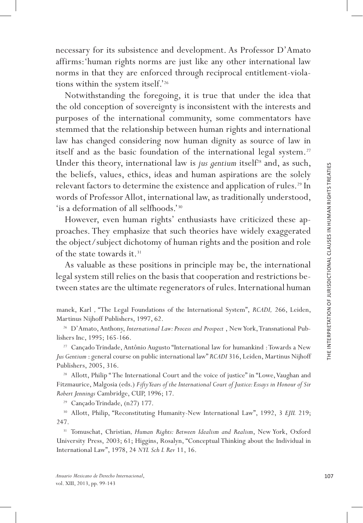necessary for its subsistence and development. As Professor D'Amato affirms:'human rights norms are just like any other international law norms in that they are enforced through reciprocal entitlement-viola tions within the system itself.'26

Notwithstanding the foregoing, it is true that under the idea that the old conception of sovereignty is inconsistent with the interests and purposes of the international community, some commentators have stemmed that the relationship between human rights and international law has changed considering now human dignity as source of law in itself and as the basic foundation of the international legal system.<sup>27</sup> Under this theory, international law is *jus gentium* itself<sup>28</sup> and, as such, the beliefs, values, ethics, ideas and human aspirations are the solely relevant factors to determine the existence and application of rules.<sup>29</sup> In words of Professor Allot, international law, as traditionally understood, 'is a deformation of all selfhoods.'30

However, even human rights' enthusiasts have criticized these ap proaches. They emphasize that such theories have widely exaggerated the object/subject dichotomy of human rights and the position and role of the state towards it.<sup>31</sup>

As valuable as these positions in principle may be, the international legal system still relies on the basis that cooperation and restrictions be tween states are the ultimate regenerators of rules. International human

<sup>27</sup> Cançado Trindade, Antônio Augusto "International law for humankind : Towards a New *Jus Gentium* : general course on public international law" *RCADI* 316, Leiden, Martinus Nijhoff Publishers, 2005, 316.

<sup>28</sup> Allott, Philip "The International Court and the voice of justice" in "Lowe, Vaughan and Fitzmaurice, Malgosia (eds.) *Fifty Years of the International Court of Justice: Essays in Honour of Sir Robert Jennings* Cambridge, CUP, 1996; 17.

<sup>29</sup> Cançado Trindade, (n27) 177.

<sup>30</sup> Allott, Philip, "Reconstituting Humanity-New International Law", 1992, 3 *EJIL* 219; 247.

<sup>31</sup> Tomuschat, Christian*, Human Rights: Between Idealism and Realism*, New York, Oxford University Press, 2003; 61; Higgins, Rosalyn, "Conceptual Thinking about the Individual in International Law", 1978, 24 *NYL Sch L Rev* 11, 16.

manek, Karl *,* "The Legal Foundations of the International System", *RCADI,* 266, Leiden, Martinus Nijhoff Publishers, 1997, 62.

<sup>&</sup>lt;sup>26</sup> D'Amato, Anthony, *International Law: Process and Prospect*, New York, Transnational Publishers Inc, 1995; 165-166.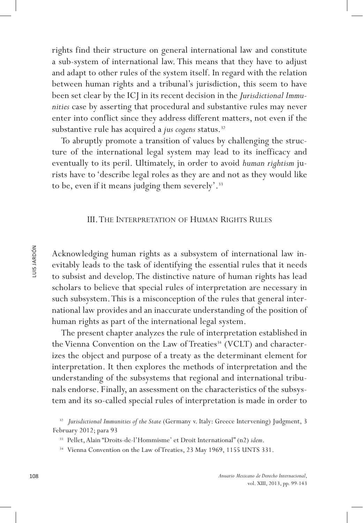rights find their structure on general international law and constitute a sub-system of international law. This means that they have to adjust and adapt to other rules of the system itself. In regard with the relation between human rights and a tribunal's jurisdiction, this seem to have been set clear by the ICJ in its recent decision in the *Jurisdictional Immunities* case by asserting that procedural and substantive rules may never enter into conflict since they address different matters, not even if the substantive rule has acquired a *jus cogens* status.<sup>32</sup>

To abruptly promote a transition of values by challenging the structure of the international legal system may lead to its inefficacy and eventually to its peril. Ultimately, in order to avoid *human rightism* jurists have to 'describe legal roles as they are and not as they would like to be, even if it means judging them severely'.<sup>33</sup>

#### III. The Interpretation of Human Rights Rules

Acknowledging human rights as a subsystem of international law inevitably leads to the task of identifying the essential rules that it needs to subsist and develop. The distinctive nature of human rights has lead scholars to believe that special rules of interpretation are necessary in such subsystem. This is a misconception of the rules that general international law provides and an inaccurate understanding of the position of human rights as part of the international legal system.

The present chapter analyzes the rule of interpretation established in the Vienna Convention on the Law of Treaties<sup>34</sup> (VCLT) and characterizes the object and purpose of a treaty as the determinant element for interpretation. It then explores the methods of interpretation and the understanding of the subsystems that regional and international tribunals endorse. Finally, an assessment on the characteristics of the subsystem and its so-called special rules of interpretation is made in order to

<sup>&</sup>lt;sup>32</sup> Jurisdictional Immunities of the State (Germany v. Italy: Greece Intervening) Judgment, 3 February 2012; para 93

<sup>33</sup> Pellet, Alain "Droits-de-l'Hommisme' et Droit International" (n2) *idem*.

<sup>&</sup>lt;sup>34</sup> Vienna Convention on the Law of Treaties, 23 May 1969, 1155 UNTS 331.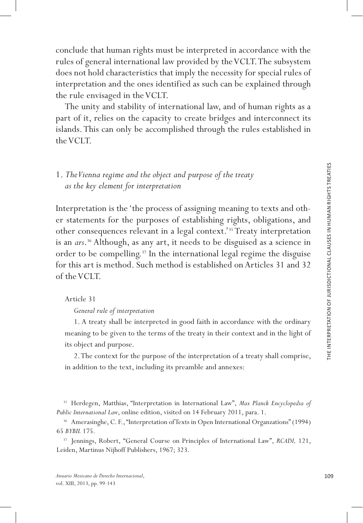conclude that human rights must be interpreted in accordance with the rules of general international law provided by the VCLT. The subsystem does not hold characteristics that imply the necessity for special rules of interpretation and the ones identified as such can be explained through the rule envisaged in the VCLT.

The unity and stability of international law, and of human rights as a part of it, relies on the capacity to create bridges and interconnect its islands. This can only be accomplished through the rules established in the VCLT.

# 1. *The Vienna regime and the object and purpose of the treaty as the key element for interpretation*

Interpretation is the 'the process of assigning meaning to texts and oth er statements for the purposes of establishing rights, obligations, and other consequences relevant in a legal context.'35 Treaty interpretation is an *ars* .36 Although, as any art, it needs to be disguised as a science in order to be compelling.<sup>37</sup> In the international legal regime the disguise for this art is method. Such method is established on Articles 31 and 32 of the VCLT.

Article 31

*General rule of interpretation*

1. A treaty shall be interpreted in good faith in accordance with the ordinary meaning to be given to the terms of the treaty in their context and in the light of its object and purpose.

2. The context for the purpose of the interpretation of a treaty shall comprise, in addition to the text, including its preamble and annexes:

<sup>35</sup> Herdegen, Matthias, "Interpretation in International Law", *Max Planck Encyclopedia of Public International Law*, online edition, visited on 14 February 2011, para. 1.

<sup>36</sup> Amerasinghe, C. F., "Interpretation of Texts in Open International Organzations" (1994) 65 *BYBIL* 175.

<sup>37</sup> Jennings, Robert, "General Course on Principles of International Law", *RCADI,* 121, Leiden, Martinus Nijhoff Publishers, 1967; 323.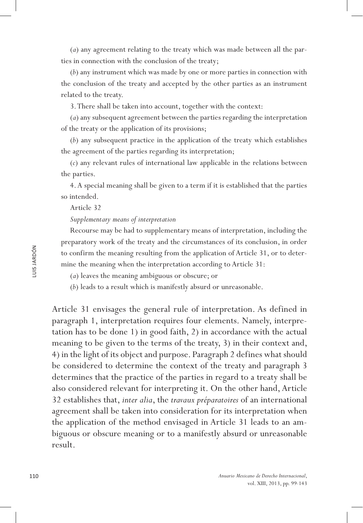(*a*) any agreement relating to the treaty which was made between all the parties in connection with the conclusion of the treaty;

(*b*) any instrument which was made by one or more parties in connection with the conclusion of the treaty and accepted by the other parties as an instrument related to the treaty.

3. There shall be taken into account, together with the context:

(*a*) any subsequent agreement between the parties regarding the interpretation of the treaty or the application of its provisions;

(*b*) any subsequent practice in the application of the treaty which establishes the agreement of the parties regarding its interpretation;

(*c*) any relevant rules of international law applicable in the relations between the parties.

4. A special meaning shall be given to a term if it is established that the parties so intended.

Article 32

#### *Supplementary means of interpretation*

Recourse may be had to supplementary means of interpretation, including the preparatory work of the treaty and the circumstances of its conclusion, in order to confirm the meaning resulting from the application of Article 31, or to determine the meaning when the interpretation according to Article 31:

(*a*) leaves the meaning ambiguous or obscure; or

(*b*) leads to a result which is manifestly absurd or unreasonable.

Article 31 envisages the general rule of interpretation. As defined in paragraph 1, interpretation requires four elements. Namely, interpretation has to be done 1) in good faith, 2) in accordance with the actual meaning to be given to the terms of the treaty, 3) in their context and, 4) in the light of its object and purpose. Paragraph 2 defines what should be considered to determine the context of the treaty and paragraph 3 determines that the practice of the parties in regard to a treaty shall be also considered relevant for interpreting it. On the other hand, Article 32 establishes that, *inter alia*, the *travaux préparatoires* of an international agreement shall be taken into consideration for its interpretation when the application of the method envisaged in Article 31 leads to an ambiguous or obscure meaning or to a manifestly absurd or unreasonable result.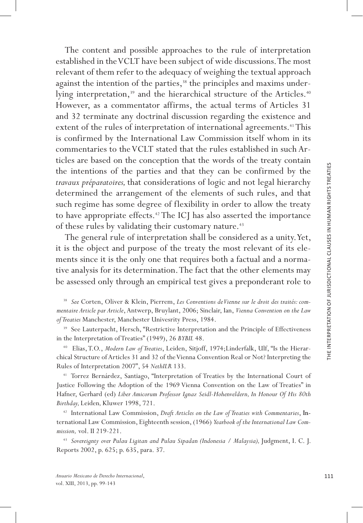The content and possible approaches to the rule of interpretation established in the VCLT have been subject of wide discussions. The most relevant of them refer to the adequacy of weighing the textual approach against the intention of the parties,<sup>38</sup> the principles and maxims underlying interpretation,<sup>39</sup> and the hierarchical structure of the Articles.<sup>40</sup> However, as a commentator affirms, the actual terms of Articles 31 and 32 terminate any doctrinal discussion regarding the existence and extent of the rules of interpretation of international agreements.<sup>41</sup> This is confirmed by the International Law Commission itself whom in its commentaries to the VCLT stated that the rules established in such Ar ticles are based on the conception that the words of the treaty contain the intentions of the parties and that they can be confirmed by the *travaux préparatoires,* that considerations of logic and not legal hierarchy determined the arrangement of the elements of such rules, and that such regime has some degree of flexibility in order to allow the treaty to have appropriate effects.<sup>42</sup> The ICJ has also asserted the importance of these rules by validating their customary nature.<sup>43</sup>

The general rule of interpretation shall be considered as a unity. Yet, it is the object and purpose of the treaty the most relevant of its elements since it is the only one that requires both a factual and a norma tive analysis for its determination. The fact that the other elements may be assessed only through an empirical test gives a preponderant role to

<sup>38</sup> *See* Corten, Oliver & Klein, Pierrem, *Les Conventions de Vienne sur le droit des traités: com mentaire Article par Article*, Antwerp, Bruylant, 2006; Sinclair, Ian, *Vienna Convention on the Law of Treaties* Manchester, Manchester Univesrity Press, 1984.

<sup>39</sup> See Lauterpacht, Hersch, "Restrictive Interpretation and the Principle of Effectiveness in the Interpretation of Treaties" (1949), 26 *BYBIL* 48.

40 Elias, T.O., *Modern Law of Treaties*, Leiden, Sitjoff, 1974;Linderfalk, Ulf, "Is the Hierar chical Structure of Articles 31 and 32 of the Vienna Convention Real or Not? Interpreting the Rules of Interpretation 2007", 54 *NethILR* 133.

<sup>41</sup> Torrez Bernárdez, Santiago, "Interpretation of Treaties by the International Court of Justice Following the Adoption of the 1969 Vienna Convention on the Law of Treaties" in Hafner, Gerhard (ed) *Liber Amicorum Professor Ignaz Seidl-Hohenveldern, In Honour Of His 80th Birthday,* Leiden*,* Kluwer 1998, 721.

<sup>42</sup> International Law Commission, *Draft Articles on the Law of Treaties with Commentaries*, International Law Commission, Eighteenth session, (1966) *Yearbook of the International Law Commission,* vol. II 219-221.

<sup>43</sup> Sovereignty over Pulau Ligitan and Pulau Sipadan (Indonesia / Malaysia), Judgment, I. C. J. Reports 2002, p. 625; p. 635, para. 37.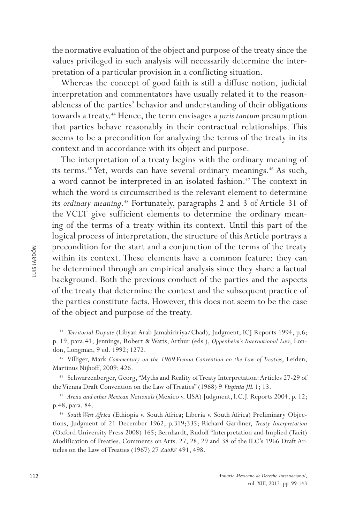the normative evaluation of the object and purpose of the treaty since the values privileged in such analysis will necessarily determine the interpretation of a particular provision in a conflicting situation.

Whereas the concept of good faith is still a diffuse notion, judicial interpretation and commentators have usually related it to the reasonableness of the parties' behavior and understanding of their obligations towards a treaty.<sup>44</sup> Hence, the term envisages a *juris tantum* presumption that parties behave reasonably in their contractual relationships. This seems to be a precondition for analyzing the terms of the treaty in its context and in accordance with its object and purpose.

The interpretation of a treaty begins with the ordinary meaning of its terms.<sup>45</sup> Yet, words can have several ordinary meanings.<sup>46</sup> As such, a word cannot be interpreted in an isolated fashion.<sup>47</sup> The context in which the word is circumscribed is the relevant element to determine its *ordinary meaning*.<sup>48</sup> Fortunately, paragraphs 2 and 3 of Article 31 of the VCLT give sufficient elements to determine the ordinary meaning of the terms of a treaty within its context. Until this part of the logical process of interpretation, the structure of this Article portrays a precondition for the start and a conjunction of the terms of the treaty within its context. These elements have a common feature: they can be determined through an empirical analysis since they share a factual background. Both the previous conduct of the parties and the aspects of the treaty that determine the context and the subsequent practice of the parties constitute facts. However, this does not seem to be the case of the object and purpose of the treaty.

<sup>44</sup> *Territorial Dispute* (Libyan Arab Jamahiririya/Chad), Judgment, ICJ Reports 1994, p.6; p. 19, para.41; Jennings, Robert & Watts, Arthur (eds.), *Oppenheim's International Law*, London, Longman, 9 ed. 1992; 1272.

<sup>45</sup> Villiger, Mark *Commentary on the 1969 Vienna Convention on the Law of Treaties*, Leiden, Martinus Nijhoff, 2009; 426.

<sup>46</sup> Schwarzenberger, Georg, "Myths and Reality of Treaty Interpretation: Articles 27-29 of the Vienna Draft Convention on the Law of Treaties" (1968) 9 *Virginia JIL* 1; 13. 47 *Avena and other Mexican Nationals* (Mexico v. USA) Judgment, I.C.J. Reports 2004, p. 12;

p.48, para. 84.

<sup>48</sup> *South West Africa* (Ethiopia v. South Africa; Liberia v. South Africa) Preliminary Objections, Judgment of 21 December 1962, p.319;335; Richard Gardiner, *Treaty Interpretation* (Oxford University Press 2008) 165; Bernhardt, Rudolf "Interpretation and Implied (Tacit) Modification of Treaties. Comments on Arts. 27, 28, 29 and 38 of the ILC's 1966 Draft Articles on the Law of Treaties (1967) 27 *ZaöRV* 491, 498.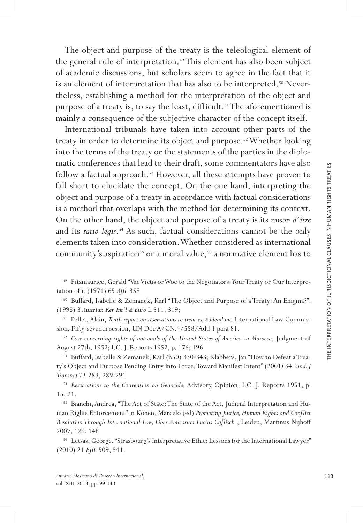The object and purpose of the treaty is the teleological element of the general rule of interpretation.<sup>49</sup> This element has also been subject of academic discussions, but scholars seem to agree in the fact that it is an element of interpretation that has also to be interpreted.<sup>50</sup> Nevertheless, establishing a method for the interpretation of the object and purpose of a treaty is, to say the least, difficult.<sup>51</sup> The aforementioned is mainly a consequence of the subjective character of the concept itself.

International tribunals have taken into account other parts of the treaty in order to determine its object and purpose.<sup>52</sup> Whether looking into the terms of the treaty or the statements of the parties in the diplo matic conferences that lead to their draft, some commentators have also follow a factual approach.<sup>53</sup> However, all these attempts have proven to fall short to elucidate the concept. On the one hand, interpreting the object and purpose of a treaty in accordance with factual considerations is a method that overlaps with the method for determining its context. On the other hand, the object and purpose of a treaty is its *raison d'être* and its *ratio legis*.<sup>54</sup> As such, factual considerations cannot be the only elements taken into consideration. Whether considered as international community's aspiration<sup>55</sup> or a moral value,<sup>56</sup> a normative element has to

49 Fitzmaurice, Gerald "Vae Victis or Woe to the Negotiators! Your Treaty or Our Interpre tation of it (1971) 65 *AJIL* 358.

<sup>50</sup> Buffard, Isabelle & Zemanek, Karl "The Object and Purpose of a Treaty: An Enigma?", (1998) 3 *Austrian Rev Int'l & Euro* L 311, 319;

<sup>51</sup> Pellet, Alain, *Tenth report on reservations to treaties, Addendum*, International Law Commission, Fifty-seventh session, UN Doc A/CN.4/558/Add 1 para 81.

<sup>52</sup> *Case concerning rights of nationals of the United States of America in Morocco*, Judgment of August 27th, 1952; I.C. J. Reports 1952, p. 176; 196.

<sup>53</sup> Buffard, Isabelle & Zemanek, Karl (n50) 330-343; Klabbers, Jan "How to Defeat a Treaty's Object and Purpose Pending Entry into Force: Toward Manifest Intent" (2001*)* 34 *Vand. J Transnat'l L* 283, 289-291.

54 *Reservations to the Convention on Genocide,* Advisory Opinion, I.C. J. Reports 1951, p. 15, 21.

<sup>55</sup> Bianchi, Andrea, "The Act of State: The State of the Act, Judicial Interpretation and Human Rights Enforcement" in Kohen, Marcelo (ed) *Promoting Justice, Human Rights and Conflict Resolution Through International Law, Liber Amicorum Lucius Caflisc h* , Leiden, Martinus Nijhoff 2007, 129; 148.

<sup>56</sup> Letsas, George, "Strasbourg's Interpretative Ethic: Lessons for the International Lawyer" (2010) 21 *EJIL* 509, 541.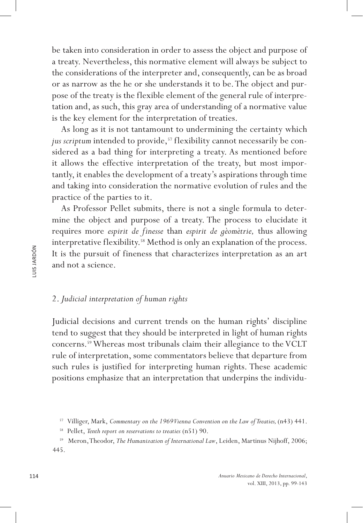be taken into consideration in order to assess the object and purpose of a treaty. Nevertheless, this normative element will always be subject to the considerations of the interpreter and, consequently, can be as broad or as narrow as the he or she understands it to be. The object and purpose of the treaty is the flexible element of the general rule of interpretation and, as such, this gray area of understanding of a normative value is the key element for the interpretation of treaties.

As long as it is not tantamount to undermining the certainty which jus scriptum intended to provide,<sup>57</sup> flexibility cannot necessarily be considered as a bad thing for interpreting a treaty. As mentioned before it allows the effective interpretation of the treaty, but most importantly, it enables the development of a treaty's aspirations through time and taking into consideration the normative evolution of rules and the practice of the parties to it.

As Professor Pellet submits, there is not a single formula to determine the object and purpose of a treaty. The process to elucidate it requires more *espirit de finesse* than *espirit de gèomètrie,* thus allowing interpretative flexibility.<sup>58</sup> Method is only an explanation of the process. It is the pursuit of fineness that characterizes interpretation as an art and not a science.

## 2. *Judicial interpretation of human rights*

Judicial decisions and current trends on the human rights' discipline tend to suggest that they should be interpreted in light of human rights concerns.59 Whereas most tribunals claim their allegiance to the VCLT rule of interpretation, some commentators believe that departure from such rules is justified for interpreting human rights. These academic positions emphasize that an interpretation that underpins the individu-

<sup>&</sup>lt;sup>57</sup> Villiger, Mark, Commentary on the 1969 Vienna Convention on the Law of Treaties, (n43) 441.

<sup>58</sup> Pellet, *Tenth report on reservations to treaties* (n51) 90.

<sup>59</sup> Meron, Theodor, *The Humanization of International Law*, Leiden, Martinus Nijhoff, 2006; 445.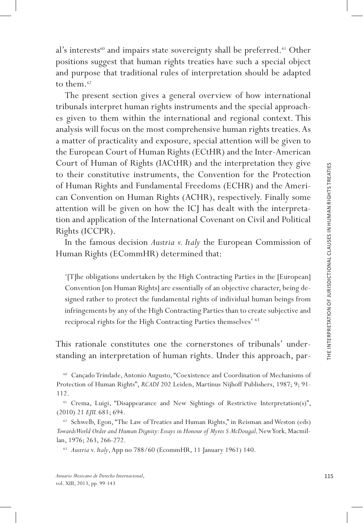al's interests<sup>60</sup> and impairs state sovereignty shall be preferred.<sup>61</sup> Other positions suggest that human rights treaties have such a special object and purpose that traditional rules of interpretation should be adapted to them.<sup>62</sup>

The present section gives a general overview of how international tribunals interpret human rights instruments and the special approach es given to them within the international and regional context. This analysis will focus on the most comprehensive human rights treaties. As a matter of practicality and exposure, special attention will be given to the European Court of Human Rights (ECtHR) and the Inter-American Court of Human of Rights (IACtHR) and the interpretation they give to their constitutive instruments, the Convention for the Protection of Human Rights and Fundamental Freedoms (ECHR) and the Ameri can Convention on Human Rights (ACHR), respectively. Finally some attention will be given on how the ICJ has dealt with the interpreta tion and application of the International Covenant on Civil and Political Rights (ICCPR).

In the famous decision *Austria v. Italy* the European Commission of Human Rights (ECommHR) determined that:

'[T]he obligations undertaken by the High Contracting Parties in the [European] Convention [on Human Rights] are essentially of an objective character, being de signed rather to protect the fundamental rights of individual human beings from infringements by any of the High Contracting Parties than to create subjective and reciprocal rights for the High Contracting Parties themselves' 63

This rationale constitutes one the cornerstones of tribunals' under standing an interpretation of human rights. Under this approach, par -

<sup>60</sup> Cançado Trindade, Antonio Augusto, "Coexistence and Coordination of Mechanisms of Protection of Human Rights", *RCADI* 202 Leiden, Martinus Nijhoff Publishers, 1987; 9; 91- 112.

<sup>61</sup> Crema, Luigi, "Disappearance and New Sightings of Restrictive Interpretation(s)", (2010) 21 *EJIL* 681; 694.

<sup>62</sup> Schwelb, Egon, "The Law of Treaties and Human Rights," in Reisman and Weston (eds) Towards World Order and Human Dignity: Essays in Honour of Myres S McDougal, New York, Macmillan, 1976; 263, 266-272.

<sup>63</sup> *Austria* v. *Italy*, App no 788/60 (EcommHR, 11 January 1961) 140.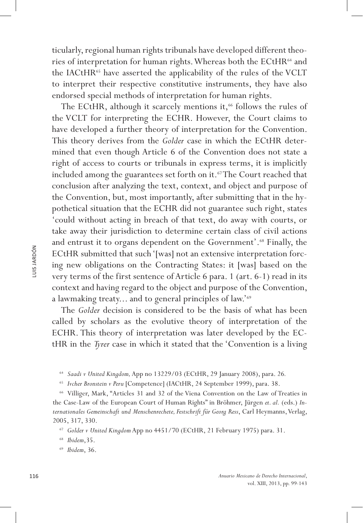ticularly, regional human rights tribunals have developed different theories of interpretation for human rights. Whereas both the ECtHR<sup>64</sup> and the IACtHR<sup>65</sup> have asserted the applicability of the rules of the VCLT to interpret their respective constitutive instruments, they have also endorsed special methods of interpretation for human rights.

The ECtHR, although it scarcely mentions it,<sup>66</sup> follows the rules of the VCLT for interpreting the ECHR. However, the Court claims to have developed a further theory of interpretation for the Convention. This theory derives from the *Golder* case in which the ECtHR determined that even though Article 6 of the Convention does not state a right of access to courts or tribunals in express terms, it is implicitly included among the guarantees set forth on it.<sup>67</sup> The Court reached that conclusion after analyzing the text, context, and object and purpose of the Convention, but, most importantly, after submitting that in the hypothetical situation that the ECHR did not guarantee such right, states 'could without acting in breach of that text, do away with courts, or take away their jurisdiction to determine certain class of civil actions and entrust it to organs dependent on the Government'.<sup>68</sup> Finally, the ECtHR submitted that such '[was] not an extensive interpretation forcing new obligations on the Contracting States: it [was] based on the very terms of the first sentence of Article 6 para. 1 (art. 6-1) read in its context and having regard to the object and purpose of the Convention, a lawmaking treaty... and to general principles of law.'69

The *Golder* decision is considered to be the basis of what has been called by scholars as the evolutive theory of interpretation of the ECHR. This theory of interpretation was later developed by the ECtHR in the *Tyrer* case in which it stated that the 'Convention is a living

<sup>64</sup> *Saadi v United Kingdom,* App no 13229/03 (ECtHR, 29 January 2008), para. 26*.*

<sup>65</sup> *Ivcher Bronstein v Peru* [Competence] (IACtHR, 24 September 1999), para. 38.

<sup>66</sup> Villiger, Mark, "Articles 31 and 32 of the Viena Convention on the Law of Treaties in the Case-Law of the European Court of Human Rights" in Bröhmer, Jürgen *et. al.* (eds.) *Internationales Gemeinschaft und Menschenrechete, Festschrift für Georg Ress*, Carl Heymanns, Verlag, 2005, 317, 330.

<sup>67</sup> *Golder v United Kingdom* App no 4451/70 (ECtHR, 21 February 1975) para. 31.

<sup>68</sup> *Ibidem*,35.

<sup>69</sup> *Ibidem*, 36.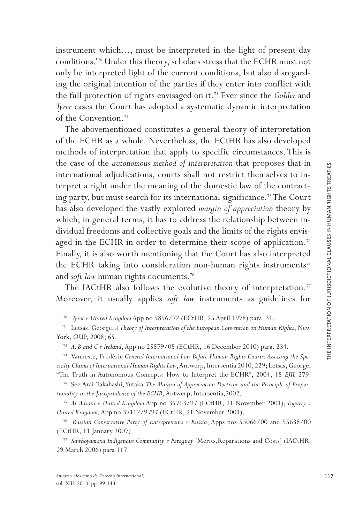instrument which..., must be interpreted in the light of present-day conditions.'70 Under this theory, scholars stress that the ECHR must not only be interpreted light of the current conditions, but also disregard ing the original intention of the parties if they enter into conflict with the full protection of rights envisaged on it.<sup>71</sup> Ever since the *Golder* and *Tyrer* cases the Court has adopted a systematic dynamic interpretation of the Convention.72

The abovementioned constitutes a general theory of interpretation of the ECHR as a whole. Nevertheless, the ECtHR has also developed methods of interpretation that apply to specific circumstances. This is the case of the *autonomous method of interpretation* that proposes that in international adjudications, courts shall not restrict themselves to in terpret a right under the meaning of the domestic law of the contract ing party, but must search for its international significance .73 The Court has also developed the vastly explored *margin of appreciation* theory by which, in general terms, it has to address the relationship between individual freedoms and collective goals and the limits of the rights envis aged in the ECHR in order to determine their scope of application.<sup>74</sup> Finally, it is also worth mentioning that the Court has also interpreted the ECHR taking into consideration non-human rights instruments<sup>75</sup> and *soft law* human rights documents.<sup>76</sup>

The IACtHR also follows the evolutive theory of interpretation.<sup>77</sup> Moreover, it usually applies *soft law* instruments as guidelines for

<sup>70</sup>*Tyrer v United Kingdom* App no 5856/72 (ECtHR, 25 April 1978) para. 31.

<sup>71</sup> Letsas, George, *A Theory of Interpretation of the European Convention on Human Rights*, New York, OUP, 2008; 65.

<sup>72</sup> *A, B and C v Ireland*, App no 25579/05 (ECtHR, 16 December 2010) para. 234 *.*

<sup>73</sup> Vanneste, Frédéric *General International Law Before Human Rights Courts: Assessing the Spe cialty Claims of International Human Rights Law*, Antwerp, Intersentia 2010, 229; Letsas, George, "The Truth in Autonomous Concepts: How to Interpret the ECHR", 2004, 15 *EJIL* 279.

<sup>74</sup> See Arai-Takahashi, Yutaka*, The Margin of Appreciation Doctrine and the Principle of Propor tionality in the Jurisprudence of the ECHR*, Antwerp, Intersentia,2002.

<sup>75</sup> *Al-Adsani v United Kingdom* App no 35763/97 (ECtHR, 21 November 2001); *Fogarty v United Kingdom,* App no 37112/9797 (ECtHR, 21 November 2001).

<sup>76</sup>*Russian Conservative Party of Entrepreneurs v Russia*, Apps nos 55066/00 and 55638/00 (ECtHR, 11 January 2007).

<sup>77</sup> *Sawhoyamaxa Indigenous Community v Paraguay* [Merits,Reparations and Costs] (IACtHR, 29 March 2006) para 117.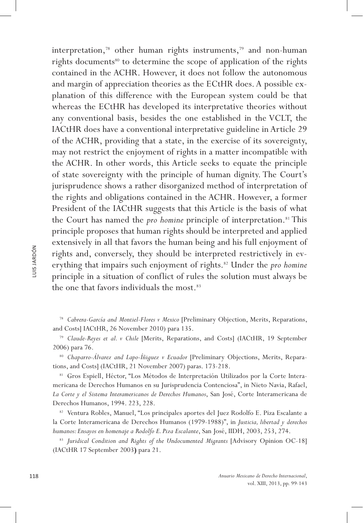interpretation,78 other human rights instruments,79 and non-human rights documents<sup>80</sup> to determine the scope of application of the rights contained in the ACHR. However, it does not follow the autonomous and margin of appreciation theories as the ECtHR does. A possible explanation of this difference with the European system could be that whereas the ECtHR has developed its interpretative theories without any conventional basis, besides the one established in the VCLT, the IACtHR does have a conventional interpretative guideline in Article 29 of the ACHR, providing that a state, in the exercise of its sovereignty, may not restrict the enjoyment of rights in a matter incompatible with the ACHR. In other words, this Article seeks to equate the principle of state sovereignty with the principle of human dignity. The Court's jurisprudence shows a rather disorganized method of interpretation of the rights and obligations contained in the ACHR. However, a former President of the IACtHR suggests that this Article is the basis of what the Court has named the *pro homine* principle of interpretation.<sup>81</sup> This principle proposes that human rights should be interpreted and applied extensively in all that favors the human being and his full enjoyment of rights and, conversely, they should be interpreted restrictively in everything that impairs such enjoyment of rights.<sup>82</sup> Under the *pro homine* principle in a situation of conflict of rules the solution must always be the one that favors individuals the most.<sup>83</sup>

<sup>78</sup> *Cabrera-García and Montiel-Flores v Mexico* [Preliminary Objection, Merits, Reparations, and Costs] IACtHR, 26 November 2010) para 135.

<sup>79</sup> *Claude-Reyes et al. v Chile* [Merits, Reparations, and Costs] (IACtHR, 19 September 2006) para 76.

<sup>80</sup> *Chaparro-Álvarez and Lapo-Íñiguez v Ecuador* [Preliminary Objections, Merits, Reparations, and Costs] (IACtHR, 21 November 2007) paras. 173-218.

<sup>81</sup> Gros Espiell, Héctor, "Los Métodos de Interpretación Utilizados por la Corte Interamericana de Derechos Humanos en su Jurisprudencia Contenciosa", in Nieto Navia, Rafael, *La Corte y el Sistema Interamericanos de Derechos Humanos*, San José, Corte Interamericana de Derechos Humanos, 1994. 223, 228.

<sup>82</sup> Ventura Robles, Manuel, "Los principales aportes del Juez Rodolfo E. Piza Escalante a la Corte Interamericana de Derechos Humanos (1979-1988)", in *Justicia, libertad y derechos humanos: Ensayos en homenaje a Rodolfo E. Piza Escalante*, San José, IIDH, 2003, 253, 274.

<sup>83</sup> *Juridical Condition and Rights of the Undocumented Migrants* [Advisory Opinion OC-18] (IACtHR 17 September 2003**)** para 21.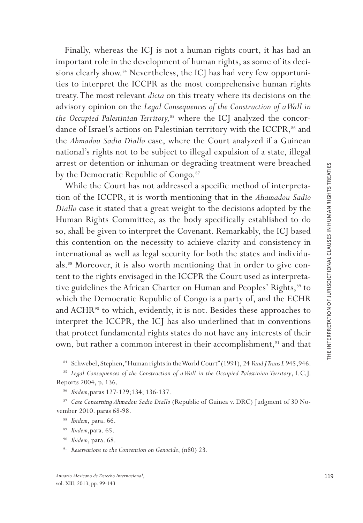important role in the development of human rights, as some of its deci sions clearly show.<sup>84</sup> Nevertheless, the ICJ has had very few opportunities to interpret the ICCPR as the most comprehensive human rights treaty. The most relevant *dicta* on this treaty where its decisions on the advisory opinion on the *Legal Consequences of the Construction of a Wall in the Occupied Palestinian Territory,*85 where the ICJ analyzed the concor dance of Israel's actions on Palestinian territory with the ICCPR,<sup>86</sup> and the *Ahmadou Sadio Diallo* case, where the Court analyzed if a Guinean national's rights not to be subject to illegal expulsion of a state, illegal arrest or detention or inhuman or degrading treatment were breached by the Democratic Republic of Congo.<sup>87</sup>

Finally, whereas the ICJ is not a human rights court, it has had an unity correlates to interpret the ICOPR as the most comprehensive bureaus of the design of the most courty in the state of interpret the ICOPR as the mos While the Court has not addressed a specific method of interpreta tion of the ICCPR, it is worth mentioning that in the *Ahamadou Sadio Diallo* case it stated that a great weight to the decisions adopted by the Human Rights Committee, as the body specifically established to do so, shall be given to interpret the Covenant. Remarkably, the ICJ based this contention on the necessity to achieve clarity and consistency in international as well as legal security for both the states and individu als.<sup>88</sup> Moreover, it is also worth mentioning that in order to give content to the rights envisaged in the ICCPR the Court used as interpreta tive guidelines the African Charter on Human and Peoples' Rights,<sup>89</sup> to which the Democratic Republic of Congo is a party of, and the ECHR and  $ACHR^{90}$  to which, evidently, it is not. Besides these approaches to interpret the ICCPR, the ICJ has also underlined that in conventions that protect fundamental rights states do not have any interests of their own, but rather a common interest in their accomplishment,<sup>91</sup> and that

<sup>84</sup> Schwebel, Stephen, "Human rights in the World Court" (1991), 24 *Vand J Trans L* 945,946.

<sup>85</sup> *Legal Consequences of the Construction of a Wall in the Occupied Palestinian Territory*, I.C.J. Reports 2004, p. 136.

<sup>86</sup> *Ibidem*,paras 127-129;134; 136-137.

<sup>87</sup> *Case Concerning Ahmadou Sadio Diallo* (Republic of Guinea v. DRC) Judgment of 30 No vember 2010. paras 68-98.

- <sup>89</sup> *Ibidem*,para. 65.
- <sup>90</sup> *Ibidem*, para. 68.

<sup>91</sup> *Reservations to the Convention on Genocide*, (n80) 23.

<sup>88</sup> *Ibidem*, para. 66.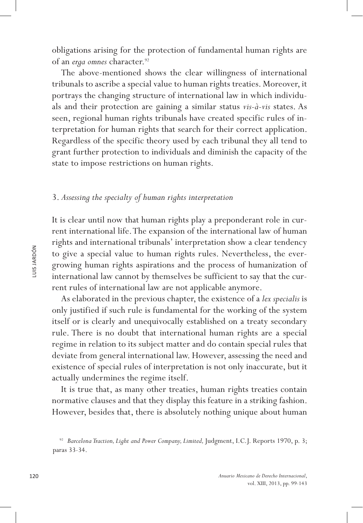obligations arising for the protection of fundamental human rights are of an *erga omnes* character.<sup>92</sup>

The above-mentioned shows the clear willingness of international tribunals to ascribe a special value to human rights treaties. Moreover, it portrays the changing structure of international law in which individuals and their protection are gaining a similar status *vis-à-vis* states. As seen, regional human rights tribunals have created specific rules of interpretation for human rights that search for their correct application. Regardless of the specific theory used by each tribunal they all tend to grant further protection to individuals and diminish the capacity of the state to impose restrictions on human rights.

## 3. *Assessing the specialty of human rights interpretation*

It is clear until now that human rights play a preponderant role in current international life. The expansion of the international law of human rights and international tribunals' interpretation show a clear tendency to give a special value to human rights rules. Nevertheless, the evergrowing human rights aspirations and the process of humanization of international law cannot by themselves be sufficient to say that the current rules of international law are not applicable anymore.

As elaborated in the previous chapter, the existence of a *lex specialis* is only justified if such rule is fundamental for the working of the system itself or is clearly and unequivocally established on a treaty secondary rule. There is no doubt that international human rights are a special regime in relation to its subject matter and do contain special rules that deviate from general international law. However, assessing the need and existence of special rules of interpretation is not only inaccurate, but it actually undermines the regime itself.

It is true that, as many other treaties, human rights treaties contain normative clauses and that they display this feature in a striking fashion. However, besides that, there is absolutely nothing unique about human

<sup>&</sup>lt;sup>92</sup> Barcelona Traction, Light and Power Company, Limited, Judgment, I.C.J. Reports 1970, p. 3; paras 33-34.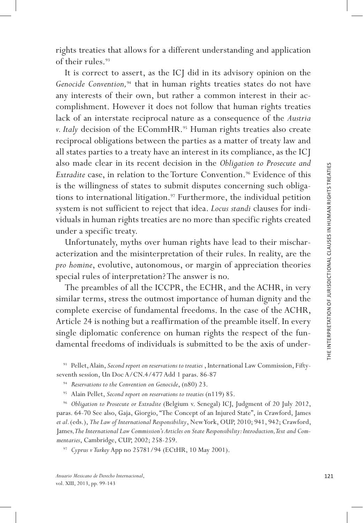rights treaties that allows for a different understanding and application of their rules.<sup>93</sup>

It is correct to assert, as the ICJ did in its advisory opinion on the Genocide Convention,<sup>94</sup> that in human rights treaties states do not have any interests of their own, but rather a common interest in their ac complishment. However it does not follow that human rights treaties lack of an interstate reciprocal nature as a consequence of the *Austria v. Italy* decision of the ECommHR.<sup>95</sup> Human rights treaties also create reciprocal obligations between the parties as a matter of treaty law and all states parties to a treaty have an interest in its compliance, as the ICJ also made clear in its recent decision in the *Obligation to Prosecute and Extradite* case, in relation to the Torture Convention.<sup>96</sup> Evidence of this is the willingness of states to submit disputes concerning such obliga tions to international litigation.<sup>97</sup> Furthermore, the individual petition system is not sufficient to reject that idea. *Locus standi* clauses for indi viduals in human rights treaties are no more than specific rights created under a specific treaty.

Unfortunately, myths over human rights have lead to their mischar acterization and the misinterpretation of their rules. In reality, are the *pro homine*, evolutive, autonomous, or margin of appreciation theories special rules of interpretation? The answer is no.

The preambles of all the ICCPR, the ECHR, and the ACHR, in very similar terms, stress the outmost importance of human dignity and the complete exercise of fundamental freedoms. In the case of the ACHR, Article 24 is nothing but a reaffirmation of the preamble itself. In every single diplomatic conference on human rights the respect of the fun damental freedoms of individuals is submitted to be the axis of under -

<sup>93</sup> Pellet, Alain, *Second report on reservations to treaties* , International Law Commission, Fiftyseventh session, Un Doc A/CN.4/477 Add 1 paras. 86-87

<sup>94</sup> *Reservations to the Convention on Genocide*, (n80) 23.

<sup>95</sup> Alain Pellet, *Second report on reservations to treaties* (n119) 85.

<sup>96</sup> *Obligation to Prosecute or Extradite* (Belgium v. Senegal) ICJ, Judgment of 20 July 2012, paras. 64-70 See also, Gaja, Giorgio, "The Concept of an Injured State", in Crawford, James *et al.* (eds.), *The Law of International Responsibility*, New York, OUP, 2010; 941, 942; Crawford, James*, The International Law Commission's Articles on State Responsibility: Introduction, Text and Com mentaries*, Cambridge, CUP, 2002; 258-259.

<sup>97</sup> *Cyprus v Turkey* App no 25781/94 (ECtHR, 10 May 2001).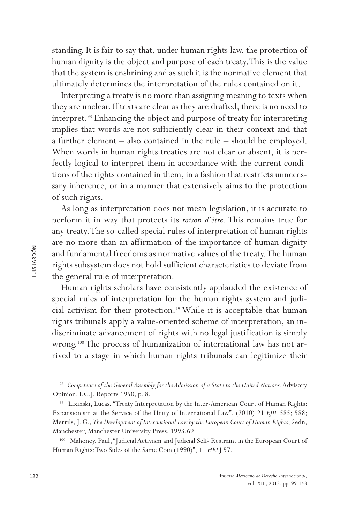standing. It is fair to say that, under human rights law, the protection of human dignity is the object and purpose of each treaty. This is the value that the system is enshrining and as such it is the normative element that ultimately determines the interpretation of the rules contained on it.

Interpreting a treaty is no more than assigning meaning to texts when they are unclear. If texts are clear as they are drafted, there is no need to interpret.98 Enhancing the object and purpose of treaty for interpreting implies that words are not sufficiently clear in their context and that a further element – also contained in the rule – should be employed. When words in human rights treaties are not clear or absent, it is perfectly logical to interpret them in accordance with the current conditions of the rights contained in them, in a fashion that restricts unnecessary inherence, or in a manner that extensively aims to the protection of such rights.

As long as interpretation does not mean legislation, it is accurate to perform it in way that protects its *raison d'être.* This remains true for any treaty. The so-called special rules of interpretation of human rights are no more than an affirmation of the importance of human dignity and fundamental freedoms as normative values of the treaty. The human rights subsystem does not hold sufficient characteristics to deviate from the general rule of interpretation.

Human rights scholars have consistently applauded the existence of special rules of interpretation for the human rights system and judicial activism for their protection.<sup>99</sup> While it is acceptable that human rights tribunals apply a value-oriented scheme of interpretation, an indiscriminate advancement of rights with no legal justification is simply wrong.<sup>100</sup> The process of humanization of international law has not arrived to a stage in which human rights tribunals can legitimize their

100 Mahoney, Paul, "Judicial Activism and Judicial Self- Restraint in the European Court of Human Rights: Two Sides of the Same Coin (1990)", 11 *HRL*J 57.

<sup>&</sup>lt;sup>98</sup> Competence of the General Assembly for the Admission of a State to the United Nations, Advisory Opinion, I.C.J. Reports 1950, p. 8.

<sup>99</sup> Lixinski, Lucas, "Treaty Interpretation by the Inter-American Court of Human Rights: Expansionism at the Service of the Unity of International Law", (2010) 21 *EJIL* 585; 588; Merrils, J. G., *The Development of International Law by the European Court of Human Rights*, 2edn, Manchester, Manchester University Press, 1993,69.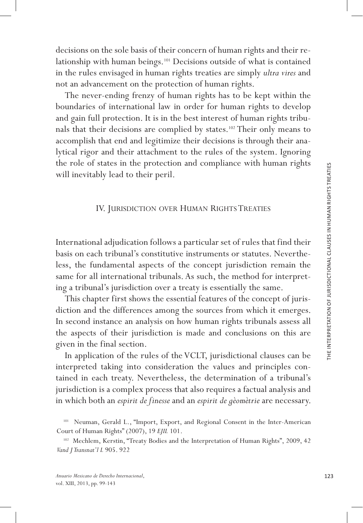decisions on the sole basis of their concern of human rights and their relationship with human beings.101 Decisions outside of what is contained in the rules envisaged in human rights treaties are simply *ultra vires* and not an advancement on the protection of human rights.

The never-ending frenzy of human rights has to be kept within the boundaries of international law in order for human rights to develop and gain full protection. It is in the best interest of human rights tribu nals that their decisions are complied by states.102 Their only means to accomplish that end and legitimize their decisions is through their ana lytical rigor and their attachment to the rules of the system. Ignoring the role of states in the protection and compliance with human rights will inevitably lead to their peril.

## IV. JURISDICTION OVER HUMAN RIGHTS TREATIES

International adjudication follows a particular set of rules that find their basis on each tribunal's constitutive instruments or statutes. Neverthe less, the fundamental aspects of the concept jurisdiction remain the same for all international tribunals. As such, the method for interpret ing a tribunal's jurisdiction over a treaty is essentially the same.

This chapter first shows the essential features of the concept of juris diction and the differences among the sources from which it emerges. In second instance an analysis on how human rights tribunals assess all the aspects of their jurisdiction is made and conclusions on this are given in the final section.

In application of the rules of the VCLT, jurisdictional clauses can be interpreted taking into consideration the values and principles con tained in each treaty. Nevertheless, the determination of a tribunal's jurisdiction is a complex process that also requires a factual analysis and in which both an *espirit de finesse* and an *espirit de gèomètrie* are necessary.

<sup>101</sup> Neuman, Gerald L., "Import, Export, and Regional Consent in the Inter-American Court of Human Rights" (2007), 19 *EJIL* 101.

<sup>102</sup> Mechlem, Kerstin, "Treaty Bodies and the Interpretation of Human Rights", 2009, 42 *Vand J Transnat'l L* 905. 922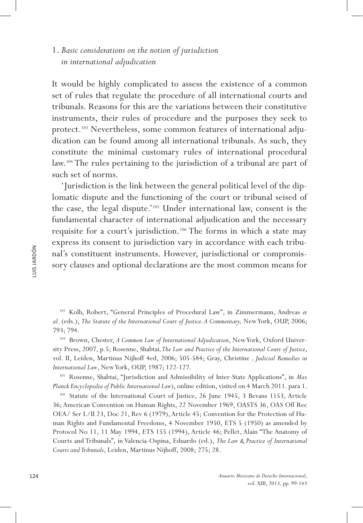# 1. *Basic considerations on the notion of jurisdiction in international adjudication*

It would be highly complicated to assess the existence of a common set of rules that regulate the procedure of all international courts and tribunals. Reasons for this are the variations between their constitutive instruments, their rules of procedure and the purposes they seek to protect.<sup>103</sup> Nevertheless, some common features of international adjudication can be found among all international tribunals. As such, they constitute the minimal customary rules of international procedural law.104 The rules pertaining to the jurisdiction of a tribunal are part of such set of norms.

'Jurisdiction is the link between the general political level of the diplomatic dispute and the functioning of the court or tribunal seised of the case, the legal dispute.'105 Under international law, consent is the fundamental character of international adjudication and the necessary requisite for a court's jurisdiction.106 The forms in which a state may express its consent to jurisdiction vary in accordance with each tribunal's constituent instruments. However, jurisdictional or compromissory clauses and optional declarations are the most common means for

<sup>103</sup> Kolb, Robert, "General Principles of Procedural Law", in Zimmermann, Andreas *et al*. (eds.), *The Statute of the International Court of Justice. A Commentary,* New York, OUP, 2006; 793; 794.

<sup>104</sup> Brown, Chester, *A Common Law of International Adjudication*, New York, Oxford University Press, 2007, p.5; Rosenne, Shabtai*, The Law and Practice of the International Court of Justice*, vol. II, Leiden, Martinus Nijhoff 4ed, 2006; 505-584; Gray, Christine *, Judicial Remedies in International Law*, New York, OUP, 1987; 122-127.

<sup>105</sup> Rosenne, Shabtai, "Jurisdiction and Admissibility of Inter-State Applications", in *Max Planck Encyclopedia of Public International Law*), online edition, visited on 4 March 2011. para 1.

<sup>106</sup> Statute of the International Court of Justice, 26 June 1945, 3 Bevans 1153, Article 36; American Convention on Human Rights, 22 November 1969, OASTS 36, OAS Off Rec OEA/ Ser L/II 23, Doc 21, Rev 6 (1979), Article 45; Convention for the Protection of Human Rights and Fundamental Freedoms, 4 November 1950, ETS 5 (1950) as amended by Protocol No 11, 11 May 1994, ETS 155 (1994), Article 46; Pellet, Alain "The Anatomy of Courts and Tribunals", in Valencia-Ospina, Eduardo (ed.), *The Law & Practice of International Courts and Tribunals*, Leiden, Martinus Nijhoff, 2008; 275; 28.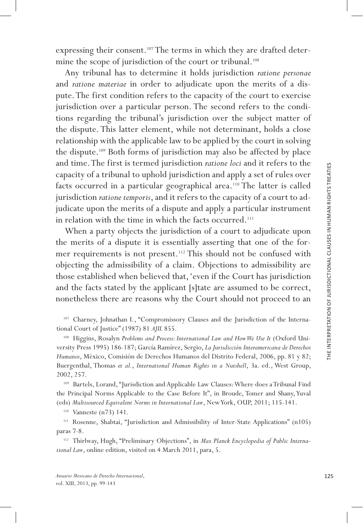expressing their consent.<sup>107</sup> The terms in which they are drafted determine the scope of jurisdiction of the court or tribunal.<sup>108</sup>

Any tribunal has to determine it holds jurisdiction *ratione personae* and *ratione materiae* in order to adjudicate upon the merits of a dis pute. The first condition refers to the capacity of the court to exercise jurisdiction over a particular person. The second refers to the conditions regarding the tribunal's jurisdiction over the subject matter of the dispute. This latter element, while not determinant, holds a close relationship with the applicable law to be applied by the court in solving the dispute.<sup>109</sup> Both forms of jurisdiction may also be affected by place and time. The first is termed jurisdiction *ratione loci* and it refers to the capacity of a tribunal to uphold jurisdiction and apply a set of rules over facts occurred in a particular geographical area.<sup>110</sup> The latter is called jurisdiction *ratione temporis*, and it refers to the capacity of a court to ad judicate upon the merits of a dispute and apply a particular instrument in relation with the time in which the facts occurred.<sup>111</sup>

When a party objects the jurisdiction of a court to adjudicate upon the merits of a dispute it is essentially asserting that one of the for mer requirements is not present.<sup>112</sup> This should not be confused with objecting the admissibility of a claim. Objections to admissibility are those established when believed that, 'even if the Court has jurisdiction and the facts stated by the applicant [s]tate are assumed to be correct, nonetheless there are reasons why the Court should not proceed to an

<sup>107</sup> Charney, Johnathan I., "Compromissory Clauses and the Jurisdiction of the Interna tional Court of Justice" (1987) 81 *AJIL* 855.

<sup>108</sup> Higgins, Rosalyn Problems and Process: International Law and How We Use It (Oxford University Press 1995) 186-187; García Ramírez, Sergio, *La Jurisdicción Interamericana de Derechos Humanos*, México, Comisión de Derechos Humanos del Distrito Federal, 2006, pp. 81 y 82; Buergenthal, Thomas *et al.*, *International Human Rights in a Nutshell*, 3a. ed., West Group, 2002, 257.

<sup>109</sup> Bartels, Lorand, "Jurisdiction and Applicable Law Clauses: Where does a Tribunal Find the Principal Norms Applicable to the Case Before It", in Broude, Tomer and Shany, Yuval (eds) *Multisourced Equivalent Norms in International Law*, New York, OUP, 2011; 115-141.

<sup>110</sup> Vanneste (n73) 141.

<sup>111</sup> Rosenne, Shabtai, "Jurisdiction and Admissibility of Inter-State Applications" (n105) paras 7-8.

<sup>112</sup> Thirlway, Hugh, "Preliminary Objections", in *Max Planck Encyclopedia of Public Interna tional Law*, online edition, visited on 4 March 2011, para, 5.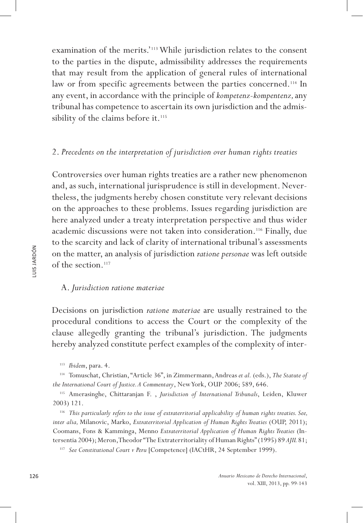examination of the merits.'113 While jurisdiction relates to the consent to the parties in the dispute, admissibility addresses the requirements that may result from the application of general rules of international law or from specific agreements between the parties concerned.<sup>114</sup> In any event, in accordance with the principle of *kompetenz-kompentenz,* any tribunal has competence to ascertain its own jurisdiction and the admissibility of the claims before it.<sup>115</sup>

## 2. *Precedents on the interpretation of jurisdiction over human rights treaties*

Controversies over human rights treaties are a rather new phenomenon and, as such, international jurisprudence is still in development. Nevertheless, the judgments hereby chosen constitute very relevant decisions on the approaches to these problems. Issues regarding jurisdiction are here analyzed under a treaty interpretation perspective and thus wider academic discussions were not taken into consideration.116 Finally, due to the scarcity and lack of clarity of international tribunal's assessments on the matter, an analysis of jurisdiction *ratione personae* was left outside of the section.<sup>117</sup>

#### A. *Jurisdiction ratione materiae*

Decisions on jurisdiction *ratione materiae* are usually restrained to the procedural conditions to access the Court or the complexity of the clause allegedly granting the tribunal's jurisdiction. The judgments hereby analyzed constitute perfect examples of the complexity of inter-

<sup>117</sup> See Constitutional Court v Peru [Competence] (IACtHR, 24 September 1999).

<sup>113</sup> *Ibidem*, para. 4.

<sup>114</sup> Tomuschat, Christian, "Article 36", in Zimmermann, Andreas *et al.* (eds.), *The Statute of the International Court of Justice. A Commentary*, New York, OUP 2006; 589, 646.

<sup>115</sup> Amerasinghe, Chittaranjan F. , *Jurisdiction of International Tribunals*, Leiden, Kluwer 2003) 121.

<sup>116</sup> *This particularly refers to the issue of extraterritorial applicability of human rights treaties. See, inter alia,* Milanovic, Marko, *Extraterritorial Application of Human Rights Treaties* (OUP, 2011); Coomans, Fons & Kamminga, Menno *Extraterritorial Application of Human Rights Treaties* (Intersentia 2004); Meron, Theodor "The Extraterritoriality of Human Rights" (1995) 89 *AJIL* 81;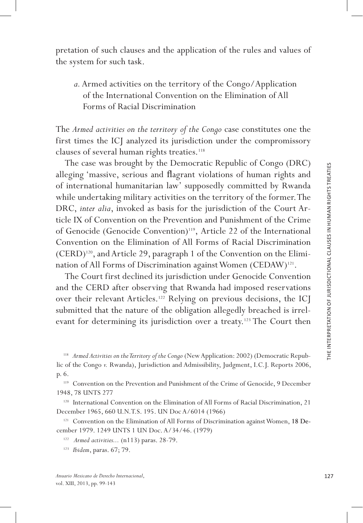pretation of such clauses and the application of the rules and values of the system for such task.

*a.* Armed activities on the territory of the Congo/Application of the International Convention on the Elimination of All Forms of Racial Discrimination

The *Armed activities on the territory of the Congo* case constitutes one the first times the ICJ analyzed its jurisdiction under the compromissory clauses of several human rights treaties.<sup>118</sup>

The case was brought by the Democratic Republic of Congo (DRC) alleging 'massive, serious and flagrant violations of human rights and of international humanitarian law' supposedly committed by Rwanda while undertaking military activities on the territory of the former. The DRC, *inter alia*, invoked as basis for the jurisdiction of the Court Ar ticle IX of Convention on the Prevention and Punishment of the Crime of Genocide (Genocide Convention)<sup>119</sup>, Article 22 of the International Convention on the Elimination of All Forms of Racial Discrimination (CERD)120, and Article 29, paragraph 1 of the Convention on the Elimi nation of All Forms of Discrimination against Women (CEDAW)<sup>121</sup>.

The Court first declined its jurisdiction under Genocide Convention and the CERD after observing that Rwanda had imposed reservations over their relevant Articles.<sup>122</sup> Relying on previous decisions, the ICJ submitted that the nature of the obligation allegedly breached is irrel evant for determining its jurisdiction over a treaty.<sup>123</sup> The Court then

<sup>118</sup> Armed Activities on the Territory of the Congo (New Application: 2002) (Democratic Republic of the Congo *v.* Rwanda), Jurisdiction and Admissibility, Judgment, I.C.J. Reports 2006, p. 6.

<sup>119</sup> Convention on the Prevention and Punishment of the Crime of Genocide, 9 December 1948, 78 UNTS 277

<sup>120</sup> International Convention on the Elimination of All Forms of Racial Discrimination, 21 December 1965, 660 U.N.T.S. 195. UN Doc A/6014 (1966)

<sup>121</sup> Convention on the Elimination of All Forms of Discrimination against Women, 18 December 1979. 1249 UNTS 1 UN Doc. A/34/46. (1979)

<sup>122</sup>*Armed activities...* (n113) paras. 28-79.

<sup>123</sup> *Ibidem*, paras. 67; 79.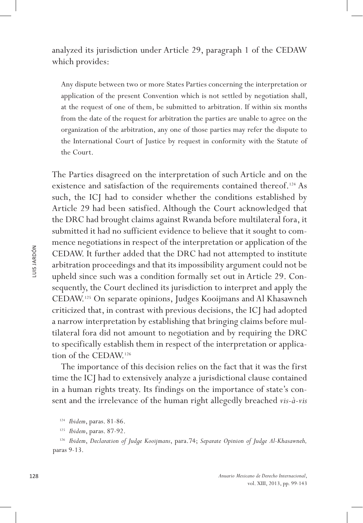analyzed its jurisdiction under Article 29, paragraph 1 of the CEDAW which provides:

Any dispute between two or more States Parties concerning the interpretation or application of the present Convention which is not settled by negotiation shall, at the request of one of them, be submitted to arbitration. If within six months from the date of the request for arbitration the parties are unable to agree on the organization of the arbitration, any one of those parties may refer the dispute to the International Court of Justice by request in conformity with the Statute of the Court.

The Parties disagreed on the interpretation of such Article and on the existence and satisfaction of the requirements contained thereof.<sup>124</sup> As such, the ICJ had to consider whether the conditions established by Article 29 had been satisfied. Although the Court acknowledged that the DRC had brought claims against Rwanda before multilateral fora, it submitted it had no sufficient evidence to believe that it sought to commence negotiations in respect of the interpretation or application of the CEDAW. It further added that the DRC had not attempted to institute arbitration proceedings and that its impossibility argument could not be upheld since such was a condition formally set out in Article 29. Consequently, the Court declined its jurisdiction to interpret and apply the CEDAW.125 On separate opinions, Judges Kooijmans and Al Khasawneh criticized that, in contrast with previous decisions, the ICJ had adopted a narrow interpretation by establishing that bringing claims before multilateral fora did not amount to negotiation and by requiring the DRC to specifically establish them in respect of the interpretation or application of the CEDAW.126

The importance of this decision relies on the fact that it was the first time the ICJ had to extensively analyze a jurisdictional clause contained in a human rights treaty. Its findings on the importance of state's consent and the irrelevance of the human right allegedly breached *vis-à-vis*

<sup>124</sup> *Ibidem*, paras. 81-86.

<sup>125</sup> *Ibidem*, paras. 87-92.

<sup>126</sup> *Ibidem*, *Declaration of Judge Kooijmans*, para.74; *Separate Opinion of Judge Al-Khasawneh,* paras 9-13.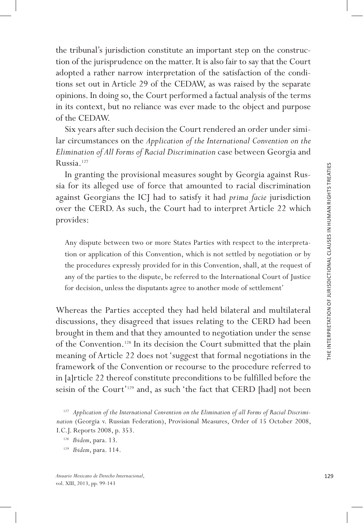the tribunal's jurisdiction constitute an important step on the construc tion of the jurisprudence on the matter. It is also fair to say that the Court adopted a rather narrow interpretation of the satisfaction of the condi tions set out in Article 29 of the CEDAW, as was raised by the separate opinions. In doing so, the Court performed a factual analysis of the terms in its context, but no reliance was ever made to the object and purpose of the CEDAW.

Six years after such decision the Court rendered an order under simi lar circumstances on the *Application of the International Convention on the Elimination of All Forms of Racial Discrimination* case between Georgia and Russia.127

In granting the provisional measures sought by Georgia against Rus sia for its alleged use of force that amounted to racial discrimination against Georgians the ICJ had to satisfy it had *prima facie* jurisdiction over the CERD. As such, the Court had to interpret Article 22 which provides:

Any dispute between two or more States Parties with respect to the interpreta tion or application of this Convention, which is not settled by negotiation or by the procedures expressly provided for in this Convention, shall, at the request of any of the parties to the dispute, be referred to the International Court of Justice for decision, unless the disputants agree to another mode of settlement'

Whereas the Parties accepted they had held bilateral and multilateral discussions, they disagreed that issues relating to the CERD had been brought in them and that they amounted to negotiation under the sense of the Convention.128 In its decision the Court submitted that the plain meaning of Article 22 does not 'suggest that formal negotiations in the framework of the Convention or recourse to the procedure referred to in [a]rticle 22 thereof constitute preconditions to be fulfilled before the seisin of the Court'129 and, as such 'the fact that CERD [had] not been

<sup>&</sup>lt;sup>127</sup> Application of the International Convention on the Elimination of all Forms of Racial Discrimi*nation* (Georgia v. Russian Federation), Provisional Measures, Order of 15 October 2008, I.C.J. Reports 2008, p. 353.

<sup>128</sup> *Ibidem*, para. 13.

<sup>129</sup> *Ibidem*, para. 114.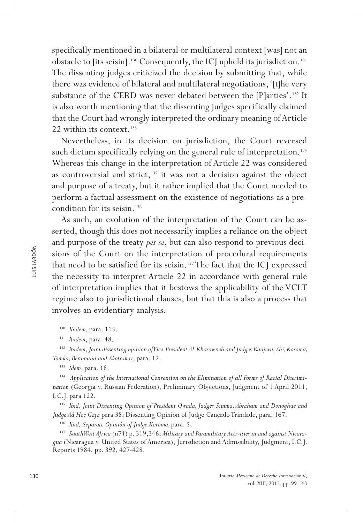specifically mentioned in a bilateral or multilateral context [was] not an obstacle to [its seisin].<sup>130</sup> Consequently, the ICJ upheld its jurisdiction.<sup>131</sup> The dissenting judges criticized the decision by submitting that, while there was evidence of bilateral and multilateral negotiations, '[t]he very substance of the CERD was never debated between the [P]arties'.<sup>132</sup> It is also worth mentioning that the dissenting judges specifically claimed that the Court had wrongly interpreted the ordinary meaning of Article 22 within its context.<sup>133</sup>

Nevertheless, in its decision on jurisdiction, the Court reversed such dictum specifically relying on the general rule of interpretation.<sup>134</sup> Whereas this change in the interpretation of Article 22 was considered as controversial and strict, $135$  it was not a decision against the object and purpose of a treaty, but it rather implied that the Court needed to perform a factual assessment on the existence of negotiations as a precondition for its seisin.136

As such, an evolution of the interpretation of the Court can be asserted, though this does not necessarily implies a reliance on the object and purpose of the treaty *per se*, but can also respond to previous decisions of the Court on the interpretation of procedural requirements that need to be satisfied for its seisin.137 The fact that the ICJ expressed the necessity to interpret Article 22 in accordance with general rule of interpretation implies that it bestows the applicability of the VCLT regime also to jurisdictional clauses, but that this is also a process that involves an evidentiary analysis.

<sup>130</sup> *Ibidem*, para. 115.

<sup>131</sup> *Ibidem*, para. 48.

<sup>132</sup> *Ibidem*, *Joint dissenting opinion of Vice-President Al-Khasawneh and Judges Ranjeva, Shi, Koroma, Tomka, Bennouna and Skotnikov*, para. 12.

<sup>133</sup> *Idem*, para. 18.

<sup>134</sup> Application of the International Convention on the Elimination of all Forms of Racial Discrimi*nation* (Georgia v. Russian Federation), Preliminary Objections, Judgment of 1 April 2011, I.C.J. para 122.

<sup>135</sup> *Ibid*, *Joint Dissenting Opinion of President Owada, Judges Simma, Abraham and Donoghue and Judge Ad Hoc Gaja* para 38; Dissenting Opinión of Judge Cançado Trindade, para. 167.

<sup>136</sup> *Ibid, Separate Opinión of Judge Koroma,* para. 5.

<sup>137</sup> *South West Africa* (n74) p. 319,346; *Military and Paramilitary Activities in and against Nicaragua* (Nicaragua v. United States of America), Jurisdiction and Admissibility, Judgment, I.C.J. Reports 1984, pp. 392, 427-428.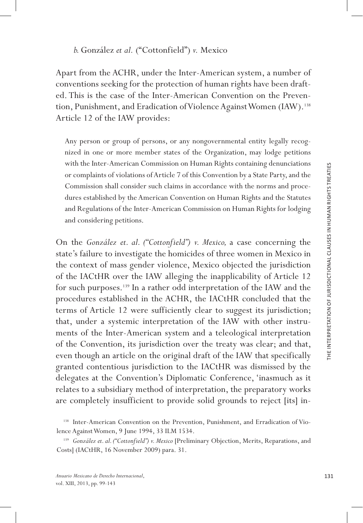Apart from the ACHR, under the Inter-American system, a number of conventions seeking for the protection of human rights have been draft ed. This is the case of the Inter-American Convention on the Preven tion, Punishment, and Eradication of Violence Against Women (IAW).<sup>138</sup> Article 12 of the IAW provides:

Any person or group of persons, or any nongovernmental entity legally recog nized in one or more member states of the Organization, may lodge petitions with the Inter-American Commission on Human Rights containing denunciations or complaints of violations of Article 7 of this Convention by a State Party, and the Commission shall consider such claims in accordance with the norms and proce dures established by the American Convention on Human Rights and the Statutes and Regulations of the Inter-American Commission on Human Rights for lodging and considering petitions.

On the *González et. al. ("Cottonfield") v. Mexico,* a case concerning the state's failure to investigate the homicides of three women in Mexico in the context of mass gender violence, Mexico objected the jurisdiction of the IACtHR over the IAW alleging the inapplicability of Article 12 for such purposes.139 In a rather odd interpretation of the IAW and the procedures established in the ACHR, the IACtHR concluded that the terms of Article 12 were sufficiently clear to suggest its jurisdiction; that, under a systemic interpretation of the IAW with other instru ments of the Inter-American system and a teleological interpretation of the Convention, its jurisdiction over the treaty was clear; and that, even though an article on the original draft of the IAW that specifically granted contentious jurisdiction to the IACtHR was dismissed by the delegates at the Convention's Diplomatic Conference, 'inasmuch as it relates to a subsidiary method of interpretation, the preparatory works are completely insufficient to provide solid grounds to reject [its] in -

<sup>&</sup>lt;sup>138</sup> Inter-American Convention on the Prevention, Punishment, and Erradication of Violence Against Women, 9 June 1994, 33 ILM 1534.

<sup>139</sup> *González et. al. ("Cottonfield") v. Mexico* [Preliminary Objection, Merits, Reparations, and Costs] (IACtHR, 16 November 2009) para. 31.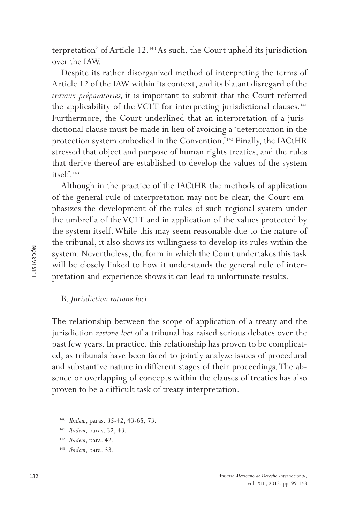terpretation' of Article 12.140 As such, the Court upheld its jurisdiction over the IAW.

Despite its rather disorganized method of interpreting the terms of Article 12 of the IAW within its context, and its blatant disregard of the *travaux préparatories,* it is important to submit that the Court referred the applicability of the VCLT for interpreting jurisdictional clauses.<sup>141</sup> Furthermore, the Court underlined that an interpretation of a jurisdictional clause must be made in lieu of avoiding a 'deterioration in the protection system embodied in the Convention.'142 Finally, the IACtHR stressed that object and purpose of human rights treaties, and the rules that derive thereof are established to develop the values of the system itself.143

Although in the practice of the IACtHR the methods of application of the general rule of interpretation may not be clear, the Court emphasizes the development of the rules of such regional system under the umbrella of the VCLT and in application of the values protected by the system itself. While this may seem reasonable due to the nature of the tribunal, it also shows its willingness to develop its rules within the system. Nevertheless, the form in which the Court undertakes this task will be closely linked to how it understands the general rule of interpretation and experience shows it can lead to unfortunate results.

#### B. *Jurisdiction ratione loci*

The relationship between the scope of application of a treaty and the jurisdiction *ratione loci* of a tribunal has raised serious debates over the past few years. In practice, this relationship has proven to be complicated, as tribunals have been faced to jointly analyze issues of procedural and substantive nature in different stages of their proceedings. The absence or overlapping of concepts within the clauses of treaties has also proven to be a difficult task of treaty interpretation.

<sup>140</sup> *Ibidem*, paras. 35-42, 43-65, 73.

<sup>141</sup> *Ibidem*, paras. 32, 43.

<sup>142</sup> *Ibidem*, para. 42.

<sup>143</sup> *Ibidem*, para. 33.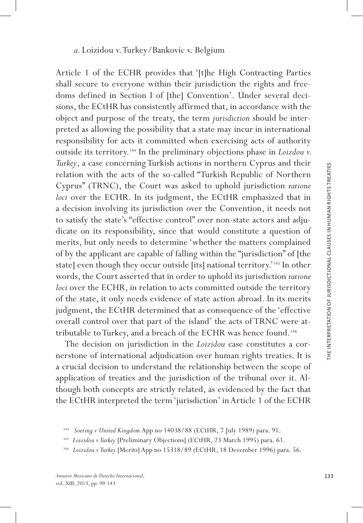## *a.* Loizidou v. Turkey/Bankovic v. Belgium

Article 1 of the ECHR provides that '[t]he High Contracting Parties shall secure to everyone within their jurisdiction the rights and free doms defined in Section I of [the] Convention'. Under several deci sions, the ECtHR has consistently affirmed that, in accordance with the object and purpose of the treaty, the term *jurisdiction* should be inter preted as allowing the possibility that a state may incur in international responsibility for acts it committed when exercising acts of authority outside its territory.<sup>144</sup> In the preliminary objections phase in *Loizdou v*. *Turkey*, a case concerning Turkish actions in northern Cyprus and their relation with the acts of the so-called "Turkish Republic of Northern Cyprus" (TRNC), the Court was asked to uphold jurisdiction *ratione loci* over the ECHR. In its judgment, the ECtHR emphasized that in a decision involving its jurisdiction over the Convention, it needs not to satisfy the state's "effective control" over non-state actors and adju dicate on its responsibility, since that would constitute a question of merits, but only needs to determine 'whether the matters complained of by the applicant are capable of falling within the "jurisdiction" of [the state] even though they occur outside [its] national territory.'<sup>145</sup> In other words, the Court asserted that in order to uphold its jurisdiction *ratione loci* over the ECHR, in relation to acts committed outside the territory of the state, it only needs evidence of state action abroad. In its merits judgment, the ECtHR determined that as consequence of the 'effective overall control over that part of the island' the acts of TRNC were at tributable to Turkey, and a breach of the ECHR was hence found.146

The decision on jurisdiction in the *Loizidou* case constitutes a cor nerstone of international adjudication over human rights treaties. It is a crucial decision to understand the relationship between the scope of application of treaties and the jurisdiction of the tribunal over it. Al though both concepts are strictly related, as evidenced by the fact that the ECtHR interpreted the term 'jurisdiction' in Article 1 of the ECHR

<sup>144</sup>*Soering v United Kingdom* App no 14038/88 (ECtHR, 7 July 1989) para. 91.

<sup>145</sup> *Loizidou v Turkey* [Preliminary Objections] (ECtHR, 23 March 1995) para. 61.

<sup>146</sup> *Loizidou v Turkey* [Merits] App no 15318/89 (ECtHR, 18 December 1996) para. 56*.*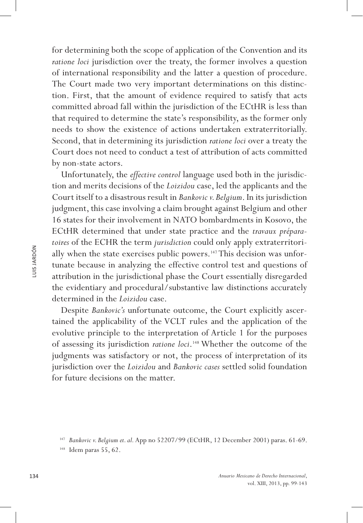for determining both the scope of application of the Convention and its *ratione loci* jurisdiction over the treaty, the former involves a question of international responsibility and the latter a question of procedure. The Court made two very important determinations on this distinction. First, that the amount of evidence required to satisfy that acts committed abroad fall within the jurisdiction of the ECtHR is less than that required to determine the state's responsibility, as the former only needs to show the existence of actions undertaken extraterritorially. Second, that in determining its jurisdiction *ratione loci* over a treaty the Court does not need to conduct a test of attribution of acts committed by non-state actors.

Unfortunately, the *effective control* language used both in the jurisdiction and merits decisions of the *Loizidou* case, led the applicants and the Court itself to a disastrous result in *Bankovic v. Belgium*. In its jurisdiction judgment, this case involving a claim brought against Belgium and other 16 states for their involvement in NATO bombardments in Kosovo, the ECtHR determined that under state practice and the *travaux préparatoires* of the ECHR the term *jurisdiction* could only apply extraterritorially when the state exercises public powers.<sup>147</sup> This decision was unfortunate because in analyzing the effective control test and questions of attribution in the jurisdictional phase the Court essentially disregarded the evidentiary and procedural/substantive law distinctions accurately determined in the *Loizidou* case.

Despite *Bankovic's* unfortunate outcome, the Court explicitly ascertained the applicability of the VCLT rules and the application of the evolutive principle to the interpretation of Article 1 for the purposes of assessing its jurisdiction *ratione loci*.148 Whether the outcome of the judgments was satisfactory or not, the process of interpretation of its jurisdiction over the *Loizidou* and *Bankovic cases* settled solid foundation for future decisions on the matter.

<sup>147</sup> *Bankovic v. Belgium et. al.* App no 52207/99 (ECtHR, 12 December 2001) paras. 61-69.

Idem paras 55, 62.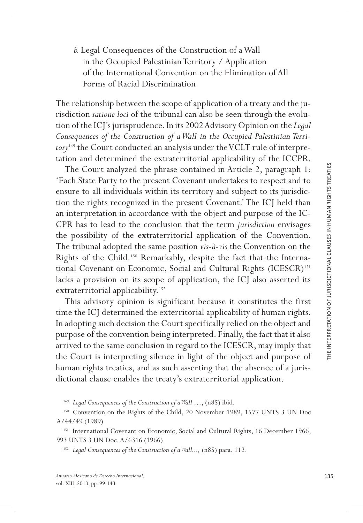*b.* Legal Consequences of the Construction of a Wall in the Occupied Palestinian Territory / Application of the International Convention on the Elimination of All Forms of Racial Discrimination

The relationship between the scope of application of a treaty and the jurisdiction *ratione loci* of the tribunal can also be seen through the evolu tion of the ICJ's jurisprudence. In its 2002 Advisory Opinion on the *Legal Consequences of the Construction of a Wall in the Occupied Palestinian Terri*  tory<sup>149</sup> the Court conducted an analysis under the VCLT rule of interpretation and determined the extraterritorial applicability of the ICCPR.

The Court analyzed the phrase contained in Article 2, paragraph 1: 'Each State Party to the present Covenant undertakes to respect and to ensure to all individuals within its territory and subject to its jurisdic tion the rights recognized in the present Covenant.' The ICJ held than an interpretation in accordance with the object and purpose of the IC - CPR has to lead to the conclusion that the term *jurisdiction* envisages the possibility of the extraterritorial application of the Convention. The tribunal adopted the same position *vis-à-vis* the Convention on the Rights of the Child.<sup>150</sup> Remarkably, despite the fact that the International Covenant on Economic, Social and Cultural Rights (ICESCR)<sup>151</sup> lacks a provision on its scope of application, the ICJ also asserted its extraterritorial applicability.<sup>152</sup>

This advisory opinion is significant because it constitutes the first time the ICJ determined the exterritorial applicability of human rights. In adopting such decision the Court specifically relied on the object and purpose of the convention being interpreted. Finally, the fact that it also arrived to the same conclusion in regard to the ICESCR, may imply that the Court is interpreting silence in light of the object and purpose of human rights treaties, and as such asserting that the absence of a juris dictional clause enables the treaty's extraterritorial application.

<sup>149</sup> *Legal Consequences of the Construction of a Wall* ..., (n85) ibid.

<sup>150</sup> Convention on the Rights of the Child, 20 November 1989, 1577 UNTS 3 UN Doc A/44/49 (1989)

<sup>151</sup> International Covenant on Economic, Social and Cultural Rights, 16 December 1966, 993 UNTS 3 UN Doc. A/6316 (1966)

<sup>152</sup> *Legal Consequences of the Construction of a Wall...,* (n85) para. 112.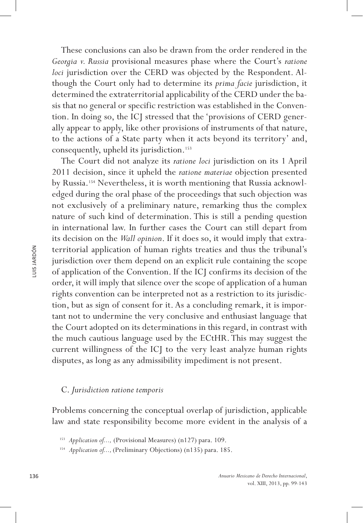These conclusions can also be drawn from the order rendered in the *Georgia v. Russia* provisional measures phase where the Court's *ratione loci* jurisdiction over the CERD was objected by the Respondent. Although the Court only had to determine its *prima facie* jurisdiction, it determined the extraterritorial applicability of the CERD under the basis that no general or specific restriction was established in the Convention. In doing so, the ICJ stressed that the 'provisions of CERD generally appear to apply, like other provisions of instruments of that nature, to the actions of a State party when it acts beyond its territory' and, consequently, upheld its jurisdiction.<sup>153</sup>

The Court did not analyze its *ratione loci* jurisdiction on its 1 April 2011 decision, since it upheld the *ratione materiae* objection presented by Russia.<sup>154</sup> Nevertheless, it is worth mentioning that Russia acknowledged during the oral phase of the proceedings that such objection was not exclusively of a preliminary nature, remarking thus the complex nature of such kind of determination. This is still a pending question in international law. In further cases the Court can still depart from its decision on the *Wall opinion*. If it does so, it would imply that extraterritorial application of human rights treaties and thus the tribunal's jurisdiction over them depend on an explicit rule containing the scope of application of the Convention. If the ICJ confirms its decision of the order, it will imply that silence over the scope of application of a human rights convention can be interpreted not as a restriction to its jurisdiction, but as sign of consent for it. As a concluding remark, it is important not to undermine the very conclusive and enthusiast language that the Court adopted on its determinations in this regard, in contrast with the much cautious language used by the ECtHR. This may suggest the current willingness of the ICJ to the very least analyze human rights disputes, as long as any admissibility impediment is not present.

### C. *Jurisdiction ratione temporis*

Problems concerning the conceptual overlap of jurisdiction, applicable law and state responsibility become more evident in the analysis of a

<sup>153</sup> *Application of...,* (Provisional Measures) (n127) para. 109.

<sup>&</sup>lt;sup>154</sup> *Application of...,* (Preliminary Objections) (n135) para. 185.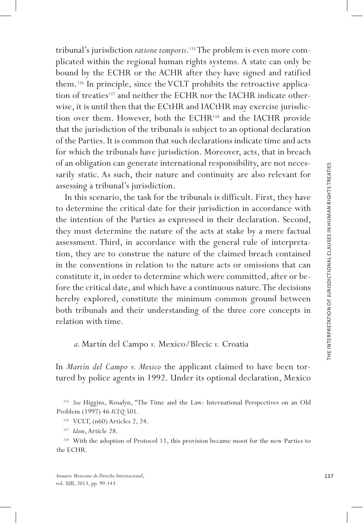tribunal's jurisdiction *ratione temporis* .155 The problem is even more com plicated within the regional human rights systems. A state can only be bound by the ECHR or the ACHR after they have signed and ratified them.<sup>156</sup> In principle, since the VCLT prohibits the retroactive application of treaties<sup>157</sup> and neither the ECHR nor the IACHR indicate otherwise, it is until then that the ECtHR and IACtHR may exercise jurisdic tion over them. However, both the ECHR<sup>158</sup> and the IACHR provide that the jurisdiction of the tribunals is subject to an optional declaration of the Parties. It is common that such declarations indicate time and acts for which the tribunals have jurisdiction. Moreover, acts, that in breach of an obligation can generate international responsibility, are not neces sarily static. As such, their nature and continuity are also relevant for assessing a tribunal's jurisdiction.

In this scenario, the task for the tribunals is difficult. First, they have to determine the critical date for their jurisdiction in accordance with the intention of the Parties as expressed in their declaration. Second, they must determine the nature of the acts at stake by a mere factual assessment. Third, in accordance with the general rule of interpreta tion, they are to construe the nature of the claimed breach contained in the conventions in relation to the nature acts or omissions that can constitute it, in order to determine which were committed, after or be fore the critical date, and which have a continuous nature. The decisions hereby explored, constitute the minimum common ground between both tribunals and their understanding of the three core concepts in relation with time.

*a.* Martín del Campo *v.* Mexico/Blecic *v.* Croatia

In *Martín del Campo v. Mexico* the applicant claimed to have been tor tured by police agents in 1992. Under its optional declaration, Mexico

<sup>155</sup> *See* Higgins, Rosalyn, "The Time and the Law: International Perspectives on an Old Problem (1997) 46 *ICLQ* 501.

<sup>158</sup> With the adoption of Protocol 11, this provision became moot for the new Parties to the ECHR.

<sup>156</sup> VCLT, (n60) Articles 2, 24.

<sup>157</sup> *Idem*, Article 28.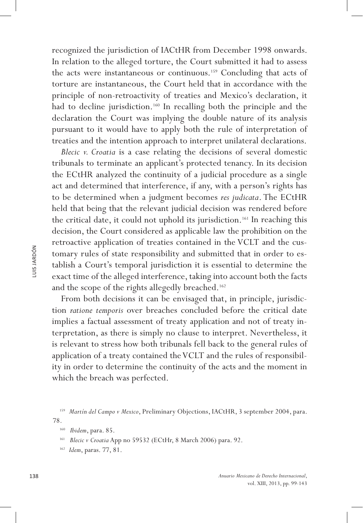recognized the jurisdiction of IACtHR from December 1998 onwards. In relation to the alleged torture, the Court submitted it had to assess the acts were instantaneous or continuous.<sup>159</sup> Concluding that acts of torture are instantaneous, the Court held that in accordance with the principle of non-retroactivity of treaties and Mexico's declaration, it had to decline jurisdiction.<sup>160</sup> In recalling both the principle and the declaration the Court was implying the double nature of its analysis pursuant to it would have to apply both the rule of interpretation of treaties and the intention approach to interpret unilateral declarations.

*Blecic v. Croatia* is a case relating the decisions of several domestic tribunals to terminate an applicant's protected tenancy. In its decision the ECtHR analyzed the continuity of a judicial procedure as a single act and determined that interference, if any, with a person's rights has to be determined when a judgment becomes *res judicata*. The ECtHR held that being that the relevant judicial decision was rendered before the critical date, it could not uphold its jurisdiction.<sup>161</sup> In reaching this decision, the Court considered as applicable law the prohibition on the retroactive application of treaties contained in the VCLT and the customary rules of state responsibility and submitted that in order to establish a Court's temporal jurisdiction it is essential to determine the exact time of the alleged interference, taking into account both the facts and the scope of the rights allegedly breached.<sup>162</sup>

From both decisions it can be envisaged that, in principle, jurisdiction *ratione temporis* over breaches concluded before the critical date implies a factual assessment of treaty application and not of treaty interpretation, as there is simply no clause to interpret. Nevertheless, it is relevant to stress how both tribunals fell back to the general rules of application of a treaty contained the VCLT and the rules of responsibility in order to determine the continuity of the acts and the moment in which the breach was perfected.

<sup>159</sup> *Martín del Campo v Mexico*, Preliminary Objections, IACtHR, 3 september 2004, para. 78.

<sup>160</sup> *Ibidem*, para. 85.

<sup>161</sup> *Blecic v Croatia* App no 59532 (ECtHr, 8 March 2006) para. 92.

<sup>162</sup> *Idem*, paras. 77, 81.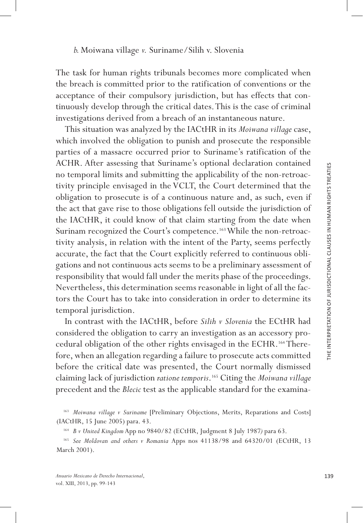The task for human rights tribunals becomes more complicated when the breach is committed prior to the ratification of conventions or the acceptance of their compulsory jurisdiction, but has effects that con tinuously develop through the critical dates. This is the case of criminal investigations derived from a breach of an instantaneous nature.

This situation was analyzed by the IACtHR in its *Moiwana village* case, which involved the obligation to punish and prosecute the responsible parties of a massacre occurred prior to Suriname's ratification of the ACHR. After assessing that Suriname's optional declaration contained no temporal limits and submitting the applicability of the non-retroac tivity principle envisaged in the VCLT, the Court determined that the obligation to prosecute is of a continuous nature and, as such, even if the act that gave rise to those obligations fell outside the jurisdiction of the IACtHR, it could know of that claim starting from the date when Surinam recognized the Court's competence.<sup>163</sup> While the non-retroactivity analysis, in relation with the intent of the Party, seems perfectly accurate, the fact that the Court explicitly referred to continuous obli gations and not continuous acts seems to be a preliminary assessment of responsibility that would fall under the merits phase of the proceedings. Nevertheless, this determination seems reasonable in light of all the fac tors the Court has to take into consideration in order to determine its temporal jurisdiction.

In contrast with the IACtHR, before *Silih v Slovenia* the ECtHR had considered the obligation to carry an investigation as an accessory pro cedural obligation of the other rights envisaged in the ECHR.<sup>164</sup> Therefore, when an allegation regarding a failure to prosecute acts committed before the critical date was presented, the Court normally dismissed claiming lack of jurisdiction *ratione temporis* .165 Citing the *Moiwana village* precedent and the *Blecic* test as the applicable standard for the examina -

<sup>163</sup> *Moiwana village v Suriname* [Preliminary Objections, Merits, Reparations and Costs] (IACtHR, 15 June 2005) para. 43.

<sup>164</sup> *B v United Kingdom* App no 9840/82 (ECtHR, Judgment 8 July 1987*)* para 63.

<sup>165</sup> *See Moldovan and others v Romania* Apps nos 41138/98 and 64320/01 (ECtHR, 13 March 2001).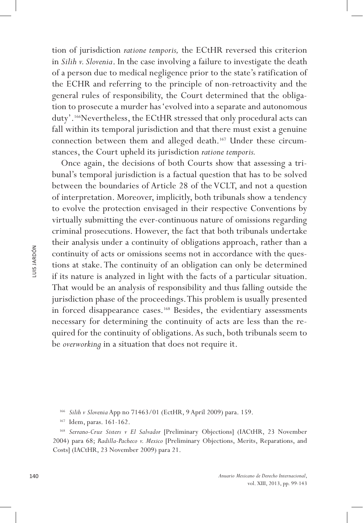tion of jurisdiction *ratione temporis,* the ECtHR reversed this criterion in *Silih v. Slovenia*. In the case involving a failure to investigate the death of a person due to medical negligence prior to the state's ratification of the ECHR and referring to the principle of non-retroactivity and the general rules of responsibility, the Court determined that the obligation to prosecute a murder has 'evolved into a separate and autonomous duty'.<sup>166</sup>Nevertheless, the ECtHR stressed that only procedural acts can fall within its temporal jurisdiction and that there must exist a genuine connection between them and alleged death.167 Under these circumstances, the Court upheld its jurisdiction *ratione temporis.*

Once again, the decisions of both Courts show that assessing a tribunal's temporal jurisdiction is a factual question that has to be solved between the boundaries of Article 28 of the VCLT, and not a question of interpretation. Moreover, implicitly, both tribunals show a tendency to evolve the protection envisaged in their respective Conventions by virtually submitting the ever-continuous nature of omissions regarding criminal prosecutions. However, the fact that both tribunals undertake their analysis under a continuity of obligations approach, rather than a continuity of acts or omissions seems not in accordance with the questions at stake. The continuity of an obligation can only be determined if its nature is analyzed in light with the facts of a particular situation. That would be an analysis of responsibility and thus falling outside the jurisdiction phase of the proceedings. This problem is usually presented in forced disappearance cases.168 Besides, the evidentiary assessments necessary for determining the continuity of acts are less than the required for the continuity of obligations. As such, both tribunals seem to be *overworking* in a situation that does not require it.

<sup>166</sup> *Silih v Slovenia* App no 71463/01 (EctHR, 9 April 2009) para. 159.

<sup>167</sup> Idem, paras. 161-162.

<sup>168</sup> *Serrano-Cruz Sisters v El Salvador* [Preliminary Objections] (IACtHR, 23 November 2004) para 68; *Radilla-Pacheco v. Mexico* [Preliminary Objections, Merits, Reparations, and Costs] (IACtHR, 23 November 2009) para 21.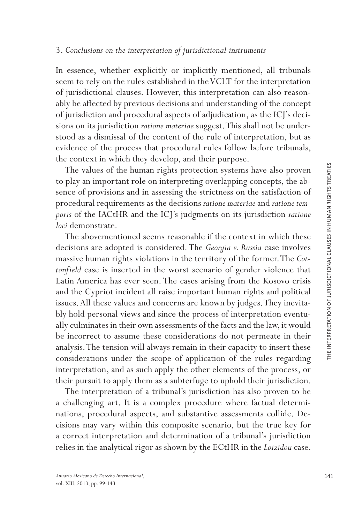In essence, whether explicitly or implicitly mentioned, all tribunals seem to rely on the rules established in the VCLT for the interpretation of jurisdictional clauses. However, this interpretation can also reason ably be affected by previous decisions and understanding of the concept of jurisdiction and procedural aspects of adjudication, as the ICJ's deci sions on its jurisdiction *ratione materiae* suggest. This shall not be under stood as a dismissal of the content of the rule of interpretation, but as evidence of the process that procedural rules follow before tribunals, the context in which they develop, and their purpose.

The values of the human rights protection systems have also proven to play an important role on interpreting overlapping concepts, the absence of provisions and in assessing the strictness on the satisfaction of procedural requirements as the decisions *ratione materiae* and *ratione tem poris* of the IACtHR and the ICJ's judgments on its jurisdiction *ratione loci* demonstrate.

The abovementioned seems reasonable if the context in which these decisions are adopted is considered. The *Georgia v. Russia* case involves massive human rights violations in the territory of the former. The *Cot tonfield* case is inserted in the worst scenario of gender violence that Latin America has ever seen. The cases arising from the Kosovo crisis and the Cypriot incident all raise important human rights and political issues. All these values and concerns are known by judges. They inevita bly hold personal views and since the process of interpretation eventu ally culminates in their own assessments of the facts and the law, it would be incorrect to assume these considerations do not permeate in their analysis. The tension will always remain in their capacity to insert these considerations under the scope of application of the rules regarding interpretation, and as such apply the other elements of the process, or their pursuit to apply them as a subterfuge to uphold their jurisdiction.

The interpretation of a tribunal's jurisdiction has also proven to be a challenging art. It is a complex procedure where factual determinations, procedural aspects, and substantive assessments collide. De cisions may vary within this composite scenario, but the true key for a correct interpretation and determination of a tribunal's jurisdiction relies in the analytical rigor as shown by the ECtHR in the *Loizidou* case.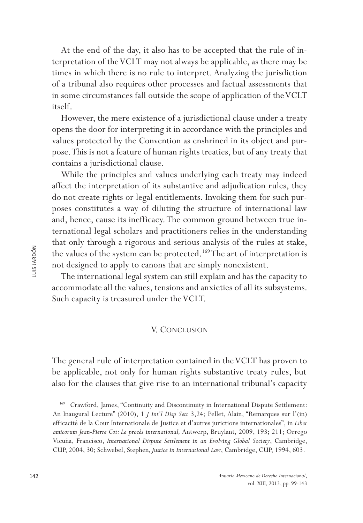At the end of the day, it also has to be accepted that the rule of interpretation of the VCLT may not always be applicable, as there may be times in which there is no rule to interpret. Analyzing the jurisdiction of a tribunal also requires other processes and factual assessments that in some circumstances fall outside the scope of application of the VCLT itself.

However, the mere existence of a jurisdictional clause under a treaty opens the door for interpreting it in accordance with the principles and values protected by the Convention as enshrined in its object and purpose. This is not a feature of human rights treaties, but of any treaty that contains a jurisdictional clause.

While the principles and values underlying each treaty may indeed affect the interpretation of its substantive and adjudication rules, they do not create rights or legal entitlements. Invoking them for such purposes constitutes a way of diluting the structure of international law and, hence, cause its inefficacy. The common ground between true international legal scholars and practitioners relies in the understanding that only through a rigorous and serious analysis of the rules at stake, the values of the system can be protected.<sup>169</sup> The art of interpretation is not designed to apply to canons that are simply nonexistent.

The international legal system can still explain and has the capacity to accommodate all the values, tensions and anxieties of all its subsystems. Such capacity is treasured under the VCLT.

#### V. Conclusion

The general rule of interpretation contained in the VCLT has proven to be applicable, not only for human rights substantive treaty rules, but also for the clauses that give rise to an international tribunal's capacity

169 Crawford, James, "Continuity and Discontinuity in International Dispute Settlement: An Inaugural Lecture" (2010), 1 *J Int'l Disp Sett* 3,24; Pellet, Alain, "Remarques sur l'(in) efficacité de la Cour Internationale de Justice et d'autres jurictions internationales", in *Liber amicorum Jean-Pierre Cot: Le procès international,* Antwerp, Bruylant, 2009, 193; 211; Orrego Vicuña, Francisco, *International Dispute Settlement in an Evolving Global Society*, Cambridge, CUP, 2004, 30; Schwebel, Stephen*, Justice in International Law*, Cambridge, CUP, 1994, 603.